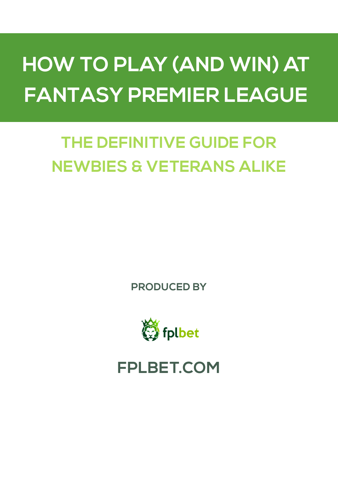# **H FANTASY PREMIER LEAGUEHOW TO PLAY (AND WIN) AT**

# **THE DEFINITIVE GUIDE FOR NEWBIES & VETERANS ALIKE**

**PRODUCED BY**



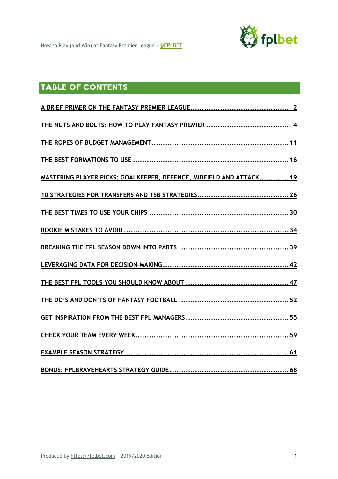

# TABLE OF CONTENTS

| MASTERING PLAYER PICKS: GOALKEEPER, DEFENCE, MIDFIELD AND ATTACK 19 |
|---------------------------------------------------------------------|
|                                                                     |
|                                                                     |
|                                                                     |
|                                                                     |
|                                                                     |
|                                                                     |
|                                                                     |
|                                                                     |
|                                                                     |
|                                                                     |
|                                                                     |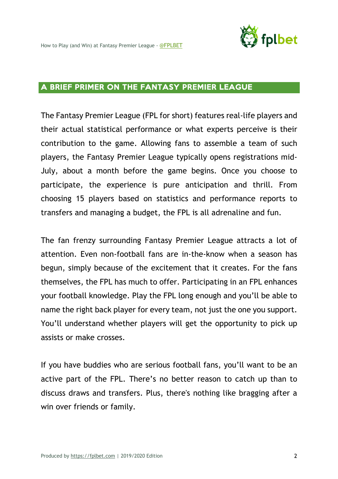

#### A BRIEF PRIMER ON THE FANTASY PREMIER LEAGUE

The Fantasy Premier League (FPL for short) features real-life players and their actual statistical performance or what experts perceive is their contribution to the game. Allowing fans to assemble a team of such players, the Fantasy Premier League typically opens registrations mid-July, about a month before the game begins. Once you choose to participate, the experience is pure anticipation and thrill. From choosing 15 players based on statistics and performance reports to transfers and managing a budget, the FPL is all adrenaline and fun.

The fan frenzy surrounding Fantasy Premier League attracts a lot of attention. Even non-football fans are in-the-know when a season has begun, simply because of the excitement that it creates. For the fans themselves, the FPL has much to offer. Participating in an FPL enhances your football knowledge. Play the FPL long enough and you'll be able to name the right back player for every team, not just the one you support. You'll understand whether players will get the opportunity to pick up assists or make crosses.

If you have buddies who are serious football fans, you'll want to be an active part of the FPL. There's no better reason to catch up than to discuss draws and transfers. Plus, there's nothing like bragging after a win over friends or family.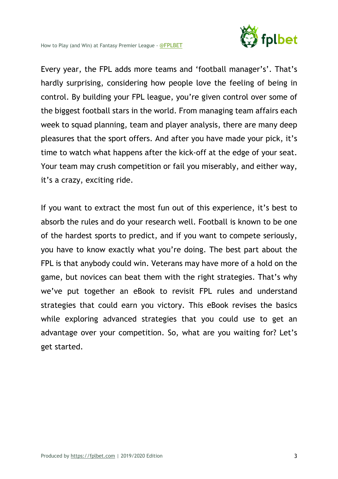

Every year, the FPL adds more teams and 'football manager's'. That's hardly surprising, considering how people love the feeling of being in control. By building your FPL league, you're given control over some of the biggest football stars in the world. From managing team affairs each week to squad planning, team and player analysis, there are many deep pleasures that the sport offers. And after you have made your pick, it's time to watch what happens after the kick-off at the edge of your seat. Your team may crush competition or fail you miserably, and either way, it's a crazy, exciting ride.

If you want to extract the most fun out of this experience, it's best to absorb the rules and do your research well. Football is known to be one of the hardest sports to predict, and if you want to compete seriously, you have to know exactly what you're doing. The best part about the FPL is that anybody could win. Veterans may have more of a hold on the game, but novices can beat them with the right strategies. That's why we've put together an eBook to revisit FPL rules and understand strategies that could earn you victory. This eBook revises the basics while exploring advanced strategies that you could use to get an advantage over your competition. So, what are you waiting for? Let's get started.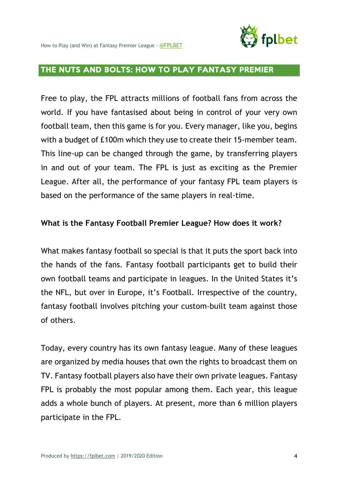

# THE NUTS AND BOLTS: HOW TO PLAY FANTASY PREMIER

Free to play, the FPL attracts millions of football fans from across the world. If you have fantasised about being in control of your very own football team, then this game is for you. Every manager, like you, begins with a budget of £100m which they use to create their 15-member team. This line-up can be changed through the game, by transferring players in and out of your team. The FPL is just as exciting as the Premier League. After all, the performance of your fantasy FPL team players is based on the performance of the same players in real-time.

#### **What is the Fantasy Football Premier League? How does it work?**

What makes fantasy football so special is that it puts the sport back into the hands of the fans. Fantasy football participants get to build their own football teams and participate in leagues. In the United States it's the NFL, but over in Europe, it's Football. Irrespective of the country, fantasy football involves pitching your custom-built team against those of others.

Today, every country has its own fantasy league. Many of these leagues are organized by media houses that own the rights to broadcast them on TV. Fantasy football players also have their own private leagues. Fantasy FPL is probably the most popular among them. Each year, this league adds a whole bunch of players. At present, more than 6 million players participate in the FPL.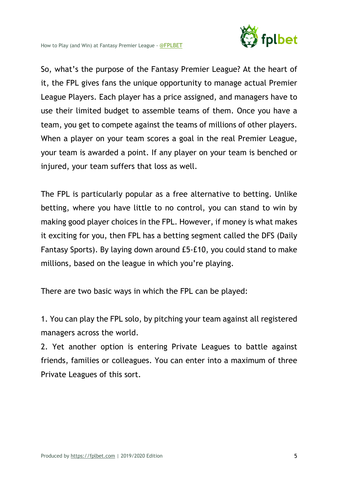

So, what's the purpose of the Fantasy Premier League? At the heart of it, the FPL gives fans the unique opportunity to manage actual Premier League Players. Each player has a price assigned, and managers have to use their limited budget to assemble teams of them. Once you have a team, you get to compete against the teams of millions of other players. When a player on your team scores a goal in the real Premier League, your team is awarded a point. If any player on your team is benched or injured, your team suffers that loss as well.

The FPL is particularly popular as a free alternative to betting. Unlike betting, where you have little to no control, you can stand to win by making good player choices in the FPL. However, if money is what makes it exciting for you, then FPL has a betting segment called the DFS (Daily Fantasy Sports). By laying down around £5-£10, you could stand to make millions, based on the league in which you're playing.

There are two basic ways in which the FPL can be played:

1. You can play the FPL solo, by pitching your team against all registered managers across the world.

2. Yet another option is entering Private Leagues to battle against friends, families or colleagues. You can enter into a maximum of three Private Leagues of this sort.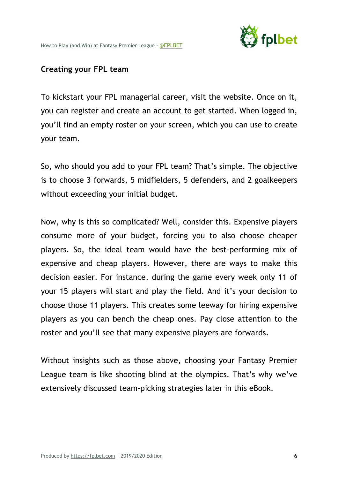

#### **Creating your FPL team**

To kickstart your FPL managerial career, visit the website. Once on it, you can register and create an account to get started. When logged in, you'll find an empty roster on your screen, which you can use to create your team.

So, who should you add to your FPL team? That's simple. The objective is to choose 3 forwards, 5 midfielders, 5 defenders, and 2 goalkeepers without exceeding your initial budget.

Now, why is this so complicated? Well, consider this. Expensive players consume more of your budget, forcing you to also choose cheaper players. So, the ideal team would have the best-performing mix of expensive and cheap players. However, there are ways to make this decision easier. For instance, during the game every week only 11 of your 15 players will start and play the field. And it's your decision to choose those 11 players. This creates some leeway for hiring expensive players as you can bench the cheap ones. Pay close attention to the roster and you'll see that many expensive players are forwards.

Without insights such as those above, choosing your Fantasy Premier League team is like shooting blind at the olympics. That's why we've extensively discussed team-picking strategies later in this eBook.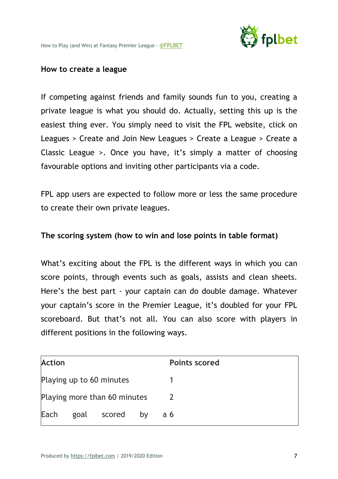

#### **How to create a league**

If competing against friends and family sounds fun to you, creating a private league is what you should do. Actually, setting this up is the easiest thing ever. You simply need to visit the FPL website, click on Leagues > Create and Join New Leagues > Create a League > Create a Classic League >. Once you have, it's simply a matter of choosing favourable options and inviting other participants via a code.

FPL app users are expected to follow more or less the same procedure to create their own private leagues.

#### **The scoring system (how to win and lose points in table format)**

What's exciting about the FPL is the different ways in which you can score points, through events such as goals, assists and clean sheets. Here's the best part - your captain can do double damage. Whatever your captain's score in the Premier League, it's doubled for your FPL scoreboard. But that's not all. You can also score with players in different positions in the following ways.

| <b>Action</b>                |  |             |    | <b>Points scored</b> |  |
|------------------------------|--|-------------|----|----------------------|--|
| Playing up to 60 minutes     |  |             |    |                      |  |
| Playing more than 60 minutes |  |             |    |                      |  |
| Each                         |  | goal scored | bv | a <sub>6</sub>       |  |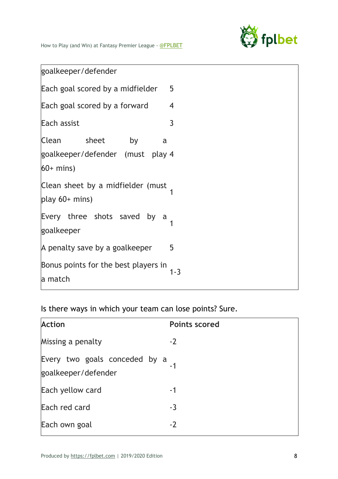

goalkeeper/defender

| 5<br>Each goal scored by a midfielder                                     |         |  |  |  |  |
|---------------------------------------------------------------------------|---------|--|--|--|--|
| Each goal scored by a forward                                             | 4       |  |  |  |  |
| Each assist                                                               | 3       |  |  |  |  |
| Clean sheet<br>by<br>a<br>goalkeeper/defender (must play 4<br>$60+$ mins) |         |  |  |  |  |
| Clean sheet by a midfielder (must<br>play $60+$ mins)                     |         |  |  |  |  |
| Every three shots saved<br>by<br>a<br>goalkeeper                          |         |  |  |  |  |
| A penalty save by a goalkeeper                                            | 5       |  |  |  |  |
| Bonus points for the best players in<br>a match                           | $1 - 3$ |  |  |  |  |

Is there ways in which your team can lose points? Sure.

| <b>Action</b>                                             | <b>Points scored</b> |
|-----------------------------------------------------------|----------------------|
| Missing a penalty                                         | $-2$                 |
| Every two goals conceded by a $-1$<br>goalkeeper/defender |                      |
| Each yellow card                                          | -1                   |
| Each red card                                             | $-3$                 |
| Each own goal                                             | $-2$                 |
|                                                           |                      |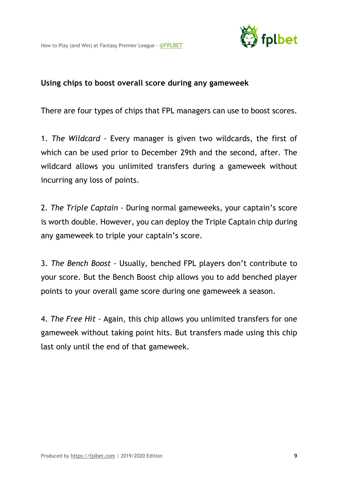

#### **Using chips to boost overall score during any gameweek**

There are four types of chips that FPL managers can use to boost scores.

1. *The Wildcard* - Every manager is given two wildcards, the first of which can be used prior to December 29th and the second, after. The wildcard allows you unlimited transfers during a gameweek without incurring any loss of points.

2. *The Triple Captain* - During normal gameweeks, your captain's score is worth double. However, you can deploy the Triple Captain chip during any gameweek to triple your captain's score.

3. *The Bench Boost* - Usually, benched FPL players don't contribute to your score. But the Bench Boost chip allows you to add benched player points to your overall game score during one gameweek a season.

4. *The Free Hit* - Again, this chip allows you unlimited transfers for one gameweek without taking point hits. But transfers made using this chip last only until the end of that gameweek.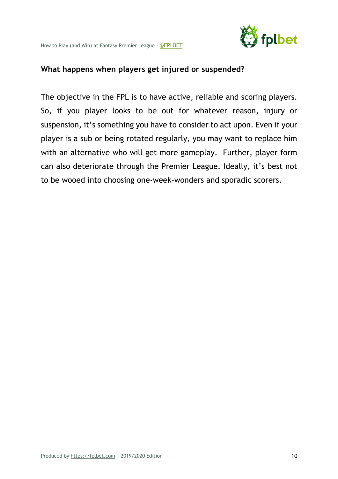

#### **What happens when players get injured or suspended?**

The objective in the FPL is to have active, reliable and scoring players. So, if you player looks to be out for whatever reason, injury or suspension, it's something you have to consider to act upon. Even if your player is a sub or being rotated regularly, you may want to replace him with an alternative who will get more gameplay. Further, player form can also deteriorate through the Premier League. Ideally, it's best not to be wooed into choosing one-week-wonders and sporadic scorers.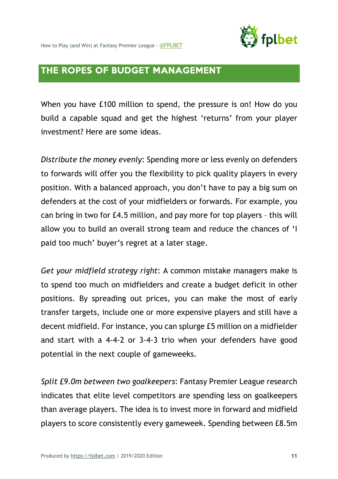

# THE ROPES OF BUDGET MANAGEMENT

When you have £100 million to spend, the pressure is on! How do you build a capable squad and get the highest 'returns' from your player investment? Here are some ideas.

*Distribute the money evenly*: Spending more or less evenly on defenders to forwards will offer you the flexibility to pick quality players in every position. With a balanced approach, you don't have to pay a big sum on defenders at the cost of your midfielders or forwards. For example, you can bring in two for £4.5 million, and pay more for top players – this will allow you to build an overall strong team and reduce the chances of 'I paid too much' buyer's regret at a later stage.

*Get your midfield strategy right*: A common mistake managers make is to spend too much on midfielders and create a budget deficit in other positions. By spreading out prices, you can make the most of early transfer targets, include one or more expensive players and still have a decent midfield. For instance, you can splurge £5 million on a midfielder and start with a 4-4-2 or 3-4-3 trio when your defenders have good potential in the next couple of gameweeks.

*Split £9.0m between two goalkeepers*: Fantasy Premier League research indicates that elite level competitors are spending less on goalkeepers than average players. The idea is to invest more in forward and midfield players to score consistently every gameweek. Spending between £8.5m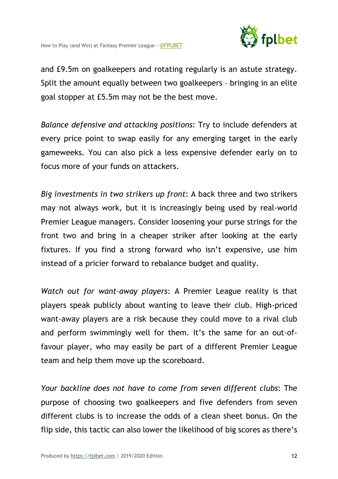

and £9.5m on goalkeepers and rotating regularly is an astute strategy. Split the amount equally between two goalkeepers – bringing in an elite goal stopper at £5.5m may not be the best move.

*Balance defensive and attacking positions*: Try to include defenders at every price point to swap easily for any emerging target in the early gameweeks. You can also pick a less expensive defender early on to focus more of your funds on attackers.

*Big investments in two strikers up front*: A back three and two strikers may not always work, but it is increasingly being used by real-world Premier League managers. Consider loosening your purse strings for the front two and bring in a cheaper striker after looking at the early fixtures. If you find a strong forward who isn't expensive, use him instead of a pricier forward to rebalance budget and quality.

*Watch out for want-away players*: A Premier League reality is that players speak publicly about wanting to leave their club. High-priced want-away players are a risk because they could move to a rival club and perform swimmingly well for them. It's the same for an out-offavour player, who may easily be part of a different Premier League team and help them move up the scoreboard.

*Your backline does not have to come from seven different clubs*: The purpose of choosing two goalkeepers and five defenders from seven different clubs is to increase the odds of a clean sheet bonus. On the flip side, this tactic can also lower the likelihood of big scores as there's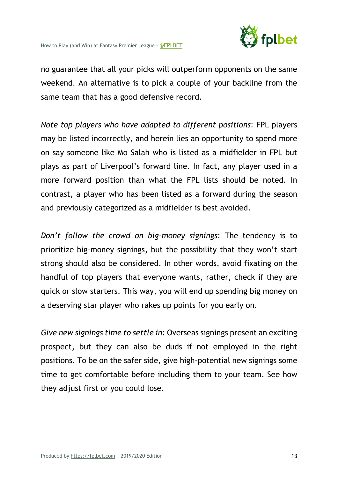

no guarantee that all your picks will outperform opponents on the same weekend. An alternative is to pick a couple of your backline from the same team that has a good defensive record.

*Note top players who have adapted to different positions*: FPL players may be listed incorrectly, and herein lies an opportunity to spend more on say someone like Mo Salah who is listed as a midfielder in FPL but plays as part of Liverpool's forward line. In fact, any player used in a more forward position than what the FPL lists should be noted. In contrast, a player who has been listed as a forward during the season and previously categorized as a midfielder is best avoided.

*Don't follow the crowd on big-money signings*: The tendency is to prioritize big-money signings, but the possibility that they won't start strong should also be considered. In other words, avoid fixating on the handful of top players that everyone wants, rather, check if they are quick or slow starters. This way, you will end up spending big money on a deserving star player who rakes up points for you early on.

*Give new signings time to settle in*: Overseas signings present an exciting prospect, but they can also be duds if not employed in the right positions. To be on the safer side, give high-potential new signings some time to get comfortable before including them to your team. See how they adjust first or you could lose.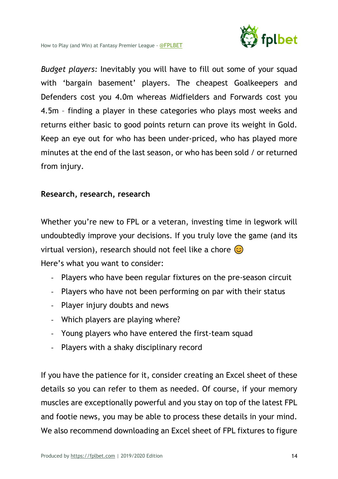

*Budget players:* Inevitably you will have to fill out some of your squad with 'bargain basement' players. The cheapest Goalkeepers and Defenders cost you 4.0m whereas Midfielders and Forwards cost you 4.5m – finding a player in these categories who plays most weeks and returns either basic to good points return can prove its weight in Gold. Keep an eye out for who has been under-priced, who has played more minutes at the end of the last season, or who has been sold / or returned from injury.

#### **Research, research, research**

Whether you're new to FPL or a veteran, investing time in legwork will undoubtedly improve your decisions. If you truly love the game (and its virtual version), research should not feel like a chore  $\circled{c}$ Here's what you want to consider:

- Players who have been regular fixtures on the pre-season circuit
- Players who have not been performing on par with their status
- Player injury doubts and news
- Which players are playing where?
- Young players who have entered the first-team squad
- Players with a shaky disciplinary record

If you have the patience for it, consider creating an Excel sheet of these details so you can refer to them as needed. Of course, if your memory muscles are exceptionally powerful and you stay on top of the latest FPL and footie news, you may be able to process these details in your mind. We also recommend downloading an Excel sheet of FPL fixtures to figure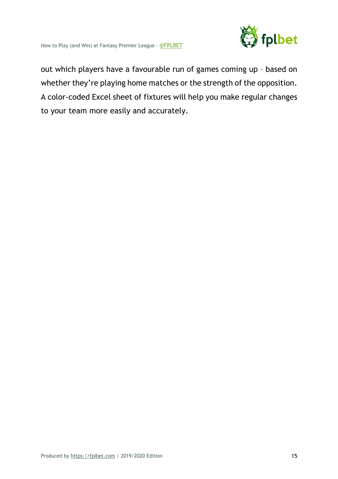

out which players have a favourable run of games coming up – based on whether they're playing home matches or the strength of the opposition. A color-coded Excel sheet of fixtures will help you make regular changes to your team more easily and accurately.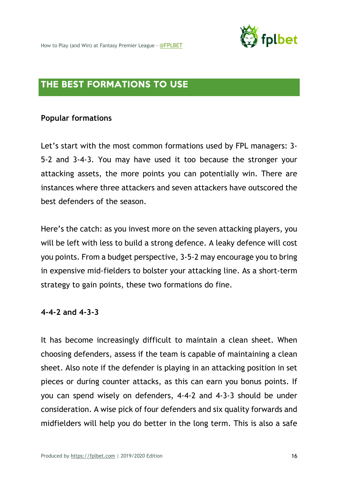

### THE BEST FORMATIONS TO USE

#### **Popular formations**

Let's start with the most common formations used by FPL managers: 3- 5-2 and 3-4-3. You may have used it too because the stronger your attacking assets, the more points you can potentially win. There are instances where three attackers and seven attackers have outscored the best defenders of the season.

Here's the catch: as you invest more on the seven attacking players, you will be left with less to build a strong defence. A leaky defence will cost you points. From a budget perspective, 3-5-2 may encourage you to bring in expensive mid-fielders to bolster your attacking line. As a short-term strategy to gain points, these two formations do fine.

#### **4-4-2 and 4-3-3**

It has become increasingly difficult to maintain a clean sheet. When choosing defenders, assess if the team is capable of maintaining a clean sheet. Also note if the defender is playing in an attacking position in set pieces or during counter attacks, as this can earn you bonus points. If you can spend wisely on defenders, 4-4-2 and 4-3-3 should be under consideration. A wise pick of four defenders and six quality forwards and midfielders will help you do better in the long term. This is also a safe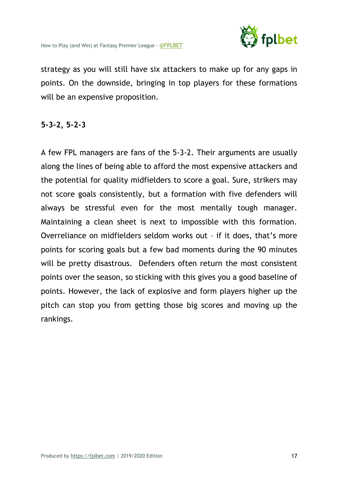

strategy as you will still have six attackers to make up for any gaps in points. On the downside, bringing in top players for these formations will be an expensive proposition.

#### **5-3-2, 5-2-3**

A few FPL managers are fans of the 5-3-2. Their arguments are usually along the lines of being able to afford the most expensive attackers and the potential for quality midfielders to score a goal. Sure, strikers may not score goals consistently, but a formation with five defenders will always be stressful even for the most mentally tough manager. Maintaining a clean sheet is next to impossible with this formation. Overreliance on midfielders seldom works out – if it does, that's more points for scoring goals but a few bad moments during the 90 minutes will be pretty disastrous. Defenders often return the most consistent points over the season, so sticking with this gives you a good baseline of points. However, the lack of explosive and form players higher up the pitch can stop you from getting those big scores and moving up the rankings.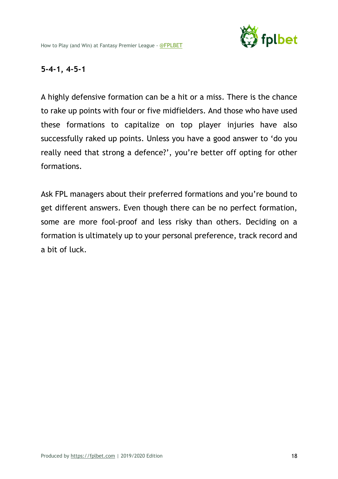

#### **5-4-1, 4-5-1**

A highly defensive formation can be a hit or a miss. There is the chance to rake up points with four or five midfielders. And those who have used these formations to capitalize on top player injuries have also successfully raked up points. Unless you have a good answer to 'do you really need that strong a defence?', you're better off opting for other formations.

Ask FPL managers about their preferred formations and you're bound to get different answers. Even though there can be no perfect formation, some are more fool-proof and less risky than others. Deciding on a formation is ultimately up to your personal preference, track record and a bit of luck.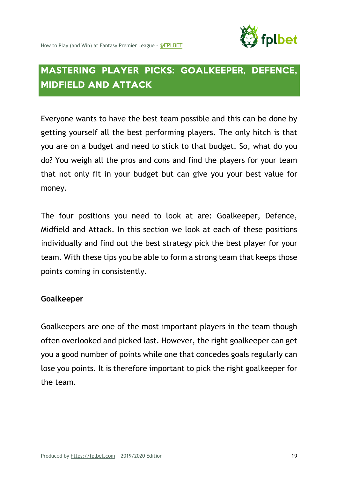

# MASTERING PLAYER PICKS: GOALKEEPER, DEFENCE, MIDFIELD AND ATTACK

Everyone wants to have the best team possible and this can be done by getting yourself all the best performing players. The only hitch is that you are on a budget and need to stick to that budget. So, what do you do? You weigh all the pros and cons and find the players for your team that not only fit in your budget but can give you your best value for money.

The four positions you need to look at are: Goalkeeper, Defence, Midfield and Attack. In this section we look at each of these positions individually and find out the best strategy pick the best player for your team. With these tips you be able to form a strong team that keeps those points coming in consistently.

#### **Goalkeeper**

Goalkeepers are one of the most important players in the team though often overlooked and picked last. However, the right goalkeeper can get you a good number of points while one that concedes goals regularly can lose you points. It is therefore important to pick the right goalkeeper for the team.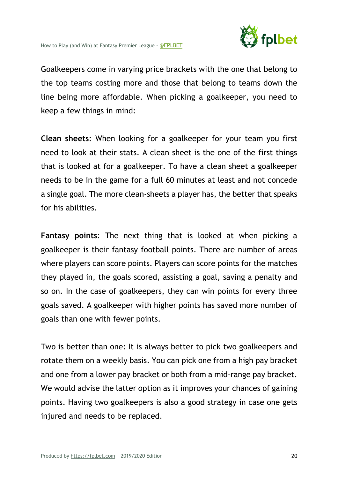

Goalkeepers come in varying price brackets with the one that belong to the top teams costing more and those that belong to teams down the line being more affordable. When picking a goalkeeper, you need to keep a few things in mind:

**Clean sheets**: When looking for a goalkeeper for your team you first need to look at their stats. A clean sheet is the one of the first things that is looked at for a goalkeeper. To have a clean sheet a goalkeeper needs to be in the game for a full 60 minutes at least and not concede a single goal. The more clean-sheets a player has, the better that speaks for his abilities.

**Fantasy points**: The next thing that is looked at when picking a goalkeeper is their fantasy football points. There are number of areas where players can score points. Players can score points for the matches they played in, the goals scored, assisting a goal, saving a penalty and so on. In the case of goalkeepers, they can win points for every three goals saved. A goalkeeper with higher points has saved more number of goals than one with fewer points.

Two is better than one: It is always better to pick two goalkeepers and rotate them on a weekly basis. You can pick one from a high pay bracket and one from a lower pay bracket or both from a mid-range pay bracket. We would advise the latter option as it improves your chances of gaining points. Having two goalkeepers is also a good strategy in case one gets injured and needs to be replaced.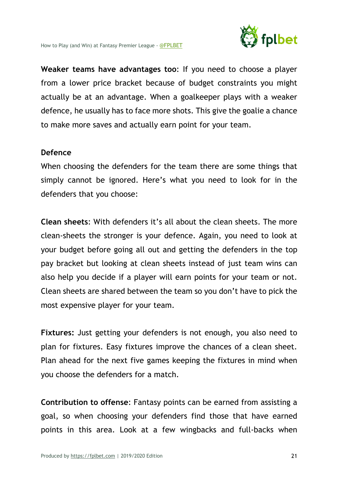

**Weaker teams have advantages too**: If you need to choose a player from a lower price bracket because of budget constraints you might actually be at an advantage. When a goalkeeper plays with a weaker defence, he usually has to face more shots. This give the goalie a chance to make more saves and actually earn point for your team.

#### **Defence**

When choosing the defenders for the team there are some things that simply cannot be ignored. Here's what you need to look for in the defenders that you choose:

**Clean sheets**: With defenders it's all about the clean sheets. The more clean-sheets the stronger is your defence. Again, you need to look at your budget before going all out and getting the defenders in the top pay bracket but looking at clean sheets instead of just team wins can also help you decide if a player will earn points for your team or not. Clean sheets are shared between the team so you don't have to pick the most expensive player for your team.

**Fixtures:** Just getting your defenders is not enough, you also need to plan for fixtures. Easy fixtures improve the chances of a clean sheet. Plan ahead for the next five games keeping the fixtures in mind when you choose the defenders for a match.

**Contribution to offense**: Fantasy points can be earned from assisting a goal, so when choosing your defenders find those that have earned points in this area. Look at a few wingbacks and full-backs when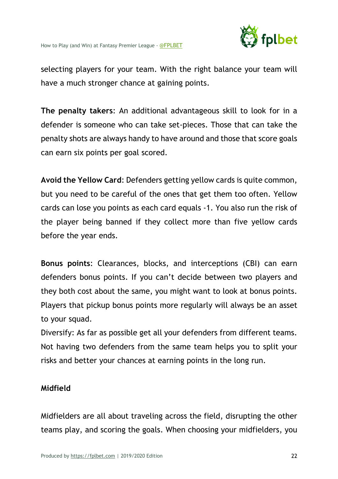

selecting players for your team. With the right balance your team will have a much stronger chance at gaining points.

**The penalty takers**: An additional advantageous skill to look for in a defender is someone who can take set-pieces. Those that can take the penalty shots are always handy to have around and those that score goals can earn six points per goal scored.

**Avoid the Yellow Card**: Defenders getting yellow cards is quite common, but you need to be careful of the ones that get them too often. Yellow cards can lose you points as each card equals -1. You also run the risk of the player being banned if they collect more than five yellow cards before the year ends.

**Bonus points**: Clearances, blocks, and interceptions (CBI) can earn defenders bonus points. If you can't decide between two players and they both cost about the same, you might want to look at bonus points. Players that pickup bonus points more regularly will always be an asset to your squad.

Diversify: As far as possible get all your defenders from different teams. Not having two defenders from the same team helps you to split your risks and better your chances at earning points in the long run.

#### **Midfield**

Midfielders are all about traveling across the field, disrupting the other teams play, and scoring the goals. When choosing your midfielders, you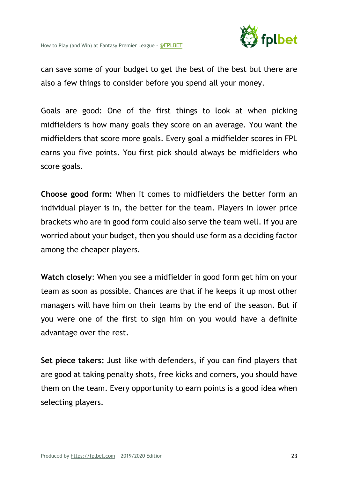

can save some of your budget to get the best of the best but there are also a few things to consider before you spend all your money.

Goals are good: One of the first things to look at when picking midfielders is how many goals they score on an average. You want the midfielders that score more goals. Every goal a midfielder scores in FPL earns you five points. You first pick should always be midfielders who score goals.

**Choose good form:** When it comes to midfielders the better form an individual player is in, the better for the team. Players in lower price brackets who are in good form could also serve the team well. If you are worried about your budget, then you should use form as a deciding factor among the cheaper players.

**Watch closely**: When you see a midfielder in good form get him on your team as soon as possible. Chances are that if he keeps it up most other managers will have him on their teams by the end of the season. But if you were one of the first to sign him on you would have a definite advantage over the rest.

**Set piece takers:** Just like with defenders, if you can find players that are good at taking penalty shots, free kicks and corners, you should have them on the team. Every opportunity to earn points is a good idea when selecting players.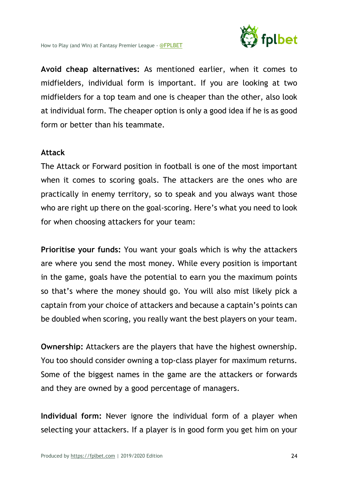

**Avoid cheap alternatives:** As mentioned earlier, when it comes to midfielders, individual form is important. If you are looking at two midfielders for a top team and one is cheaper than the other, also look at individual form. The cheaper option is only a good idea if he is as good form or better than his teammate.

#### **Attack**

The Attack or Forward position in football is one of the most important when it comes to scoring goals. The attackers are the ones who are practically in enemy territory, so to speak and you always want those who are right up there on the goal-scoring. Here's what you need to look for when choosing attackers for your team:

**Prioritise your funds:** You want your goals which is why the attackers are where you send the most money. While every position is important in the game, goals have the potential to earn you the maximum points so that's where the money should go. You will also mist likely pick a captain from your choice of attackers and because a captain's points can be doubled when scoring, you really want the best players on your team.

**Ownership:** Attackers are the players that have the highest ownership. You too should consider owning a top-class player for maximum returns. Some of the biggest names in the game are the attackers or forwards and they are owned by a good percentage of managers.

**Individual form:** Never ignore the individual form of a player when selecting your attackers. If a player is in good form you get him on your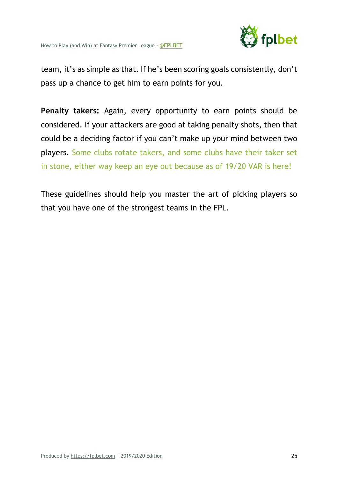

team, it's as simple as that. If he's been scoring goals consistently, don't pass up a chance to get him to earn points for you.

**Penalty takers:** Again, every opportunity to earn points should be considered. If your attackers are good at taking penalty shots, then that could be a deciding factor if you can't make up your mind between two players. Some clubs rotate takers, and some clubs have their taker set in stone, either way keep an eye out because as of 19/20 VAR is here!

These guidelines should help you master the art of picking players so that you have one of the strongest teams in the FPL.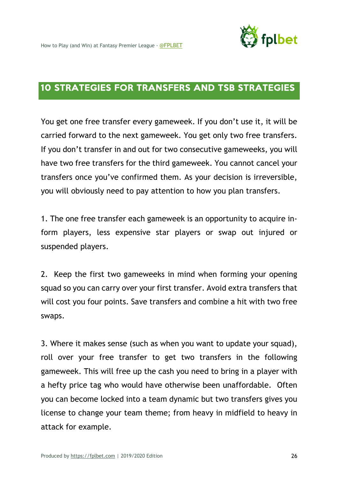

# 10 STRATEGIES FOR TRANSFERS AND TSB STRATEGIES

You get one free transfer every gameweek. If you don't use it, it will be carried forward to the next gameweek. You get only two free transfers. If you don't transfer in and out for two consecutive gameweeks, you will have two free transfers for the third gameweek. You cannot cancel your transfers once you've confirmed them. As your decision is irreversible, you will obviously need to pay attention to how you plan transfers.

1. The one free transfer each gameweek is an opportunity to acquire inform players, less expensive star players or swap out injured or suspended players.

2. Keep the first two gameweeks in mind when forming your opening squad so you can carry over your first transfer. Avoid extra transfers that will cost you four points. Save transfers and combine a hit with two free swaps.

3. Where it makes sense (such as when you want to update your squad), roll over your free transfer to get two transfers in the following gameweek. This will free up the cash you need to bring in a player with a hefty price tag who would have otherwise been unaffordable. Often you can become locked into a team dynamic but two transfers gives you license to change your team theme; from heavy in midfield to heavy in attack for example.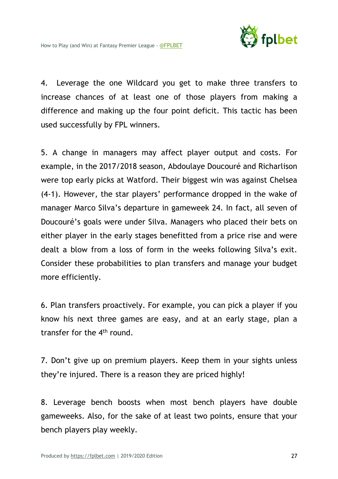

4. Leverage the one Wildcard you get to make three transfers to increase chances of at least one of those players from making a difference and making up the four point deficit. This tactic has been used successfully by FPL winners.

5. A change in managers may affect player output and costs. For example, in the 2017/2018 season, Abdoulaye Doucouré and Richarlison were top early picks at Watford. Their biggest win was against Chelsea (4-1). However, the star players' performance dropped in the wake of manager Marco Silva's departure in gameweek 24. In fact, all seven of Doucouré's goals were under Silva. Managers who placed their bets on either player in the early stages benefitted from a price rise and were dealt a blow from a loss of form in the weeks following Silva's exit. Consider these probabilities to plan transfers and manage your budget more efficiently.

6. Plan transfers proactively. For example, you can pick a player if you know his next three games are easy, and at an early stage, plan a transfer for the  $4<sup>th</sup>$  round.

7. Don't give up on premium players. Keep them in your sights unless they're injured. There is a reason they are priced highly!

8. Leverage bench boosts when most bench players have double gameweeks. Also, for the sake of at least two points, ensure that your bench players play weekly.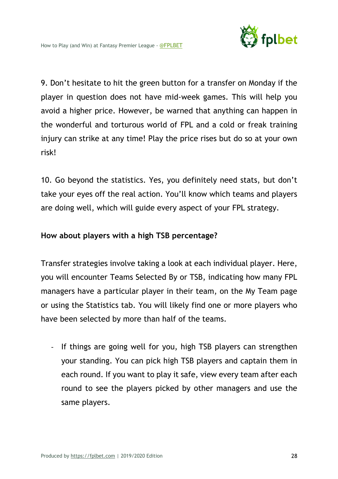

9. Don't hesitate to hit the green button for a transfer on Monday if the player in question does not have mid-week games. This will help you avoid a higher price. However, be warned that anything can happen in the wonderful and torturous world of FPL and a cold or freak training injury can strike at any time! Play the price rises but do so at your own risk!

10. Go beyond the statistics. Yes, you definitely need stats, but don't take your eyes off the real action. You'll know which teams and players are doing well, which will guide every aspect of your FPL strategy.

#### **How about players with a high TSB percentage?**

Transfer strategies involve taking a look at each individual player. Here, you will encounter Teams Selected By or TSB, indicating how many FPL managers have a particular player in their team, on the My Team page or using the Statistics tab. You will likely find one or more players who have been selected by more than half of the teams.

- If things are going well for you, high TSB players can strengthen your standing. You can pick high TSB players and captain them in each round. If you want to play it safe, view every team after each round to see the players picked by other managers and use the same players.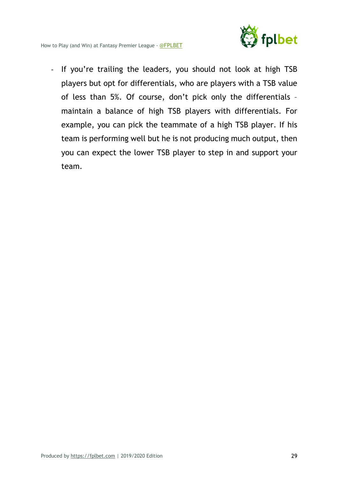

- If you're trailing the leaders, you should not look at high TSB players but opt for differentials, who are players with a TSB value of less than 5%. Of course, don't pick only the differentials – maintain a balance of high TSB players with differentials. For example, you can pick the teammate of a high TSB player. If his team is performing well but he is not producing much output, then you can expect the lower TSB player to step in and support your team.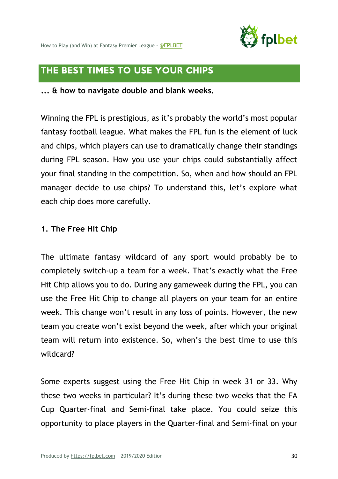

How to Play (and Win) at Fantasy Premier League - @FPLBET

# THE BEST TIMES TO USE YOUR CHIPS

**... & how to navigate double and blank weeks.**

Winning the FPL is prestigious, as it's probably the world's most popular fantasy football league. What makes the FPL fun is the element of luck and chips, which players can use to dramatically change their standings during FPL season. How you use your chips could substantially affect your final standing in the competition. So, when and how should an FPL manager decide to use chips? To understand this, let's explore what each chip does more carefully.

#### **1. The Free Hit Chip**

The ultimate fantasy wildcard of any sport would probably be to completely switch-up a team for a week. That's exactly what the Free Hit Chip allows you to do. During any gameweek during the FPL, you can use the Free Hit Chip to change all players on your team for an entire week. This change won't result in any loss of points. However, the new team you create won't exist beyond the week, after which your original team will return into existence. So, when's the best time to use this wildcard?

Some experts suggest using the Free Hit Chip in week 31 or 33. Why these two weeks in particular? It's during these two weeks that the FA Cup Quarter-final and Semi-final take place. You could seize this opportunity to place players in the Quarter-final and Semi-final on your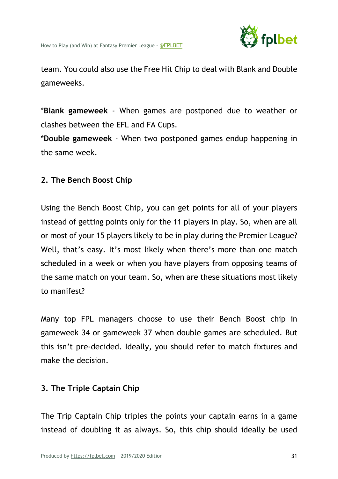

team. You could also use the Free Hit Chip to deal with Blank and Double gameweeks.

\***Blank gameweek** - When games are postponed due to weather or clashes between the EFL and FA Cups.

\***Double gameweek** - When two postponed games endup happening in the same week.

#### **2. The Bench Boost Chip**

Using the Bench Boost Chip, you can get points for all of your players instead of getting points only for the 11 players in play. So, when are all or most of your 15 players likely to be in play during the Premier League? Well, that's easy. It's most likely when there's more than one match scheduled in a week or when you have players from opposing teams of the same match on your team. So, when are these situations most likely to manifest?

Many top FPL managers choose to use their Bench Boost chip in gameweek 34 or gameweek 37 when double games are scheduled. But this isn't pre-decided. Ideally, you should refer to match fixtures and make the decision.

#### **3. The Triple Captain Chip**

The Trip Captain Chip triples the points your captain earns in a game instead of doubling it as always. So, this chip should ideally be used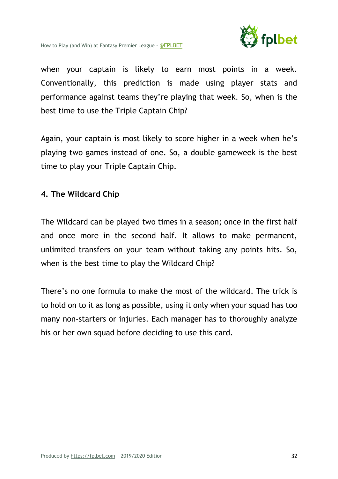

when your captain is likely to earn most points in a week. Conventionally, this prediction is made using player stats and performance against teams they're playing that week. So, when is the best time to use the Triple Captain Chip?

Again, your captain is most likely to score higher in a week when he's playing two games instead of one. So, a double gameweek is the best time to play your Triple Captain Chip.

#### **4. The Wildcard Chip**

The Wildcard can be played two times in a season; once in the first half and once more in the second half. It allows to make permanent, unlimited transfers on your team without taking any points hits. So, when is the best time to play the Wildcard Chip?

There's no one formula to make the most of the wildcard. The trick is to hold on to it as long as possible, using it only when your squad has too many non-starters or injuries. Each manager has to thoroughly analyze his or her own squad before deciding to use this card.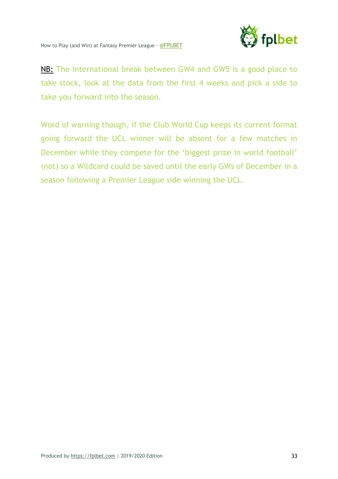

NB: The International break between GW4 and GW5 is a good place to take stock, look at the data from the first 4 weeks and pick a side to take you forward into the season.

Word of warning though, if the Club World Cup keeps its current format going forward the UCL winner will be absent for a few matches in December while they compete for the 'biggest prize in world football' (not) so a Wildcard could be saved until the early GWs of December in a season following a Premier League side winning the UCL.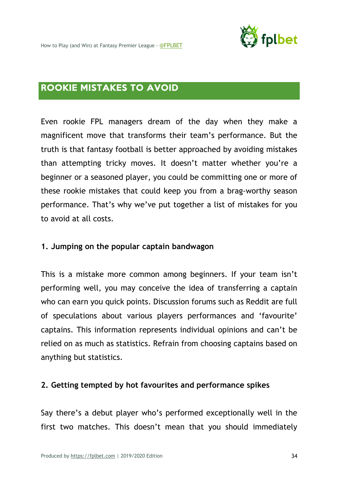

# ROOKIE MISTAKES TO AVOID

Even rookie FPL managers dream of the day when they make a magnificent move that transforms their team's performance. But the truth is that fantasy football is better approached by avoiding mistakes than attempting tricky moves. It doesn't matter whether you're a beginner or a seasoned player, you could be committing one or more of these rookie mistakes that could keep you from a brag-worthy season performance. That's why we've put together a list of mistakes for you to avoid at all costs.

#### **1. Jumping on the popular captain bandwagon**

This is a mistake more common among beginners. If your team isn't performing well, you may conceive the idea of transferring a captain who can earn you quick points. Discussion forums such as Reddit are full of speculations about various players performances and 'favourite' captains. This information represents individual opinions and can't be relied on as much as statistics. Refrain from choosing captains based on anything but statistics.

#### **2. Getting tempted by hot favourites and performance spikes**

Say there's a debut player who's performed exceptionally well in the first two matches. This doesn't mean that you should immediately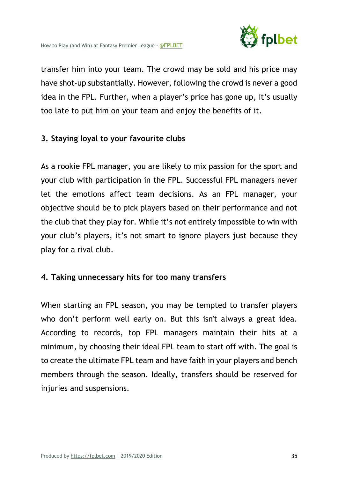

transfer him into your team. The crowd may be sold and his price may have shot-up substantially. However, following the crowd is never a good idea in the FPL. Further, when a player's price has gone up, it's usually too late to put him on your team and enjoy the benefits of it.

#### **3. Staying loyal to your favourite clubs**

As a rookie FPL manager, you are likely to mix passion for the sport and your club with participation in the FPL. Successful FPL managers never let the emotions affect team decisions. As an FPL manager, your objective should be to pick players based on their performance and not the club that they play for. While it's not entirely impossible to win with your club's players, it's not smart to ignore players just because they play for a rival club.

#### **4. Taking unnecessary hits for too many transfers**

When starting an FPL season, you may be tempted to transfer players who don't perform well early on. But this isn't always a great idea. According to records, top FPL managers maintain their hits at a minimum, by choosing their ideal FPL team to start off with. The goal is to create the ultimate FPL team and have faith in your players and bench members through the season. Ideally, transfers should be reserved for injuries and suspensions.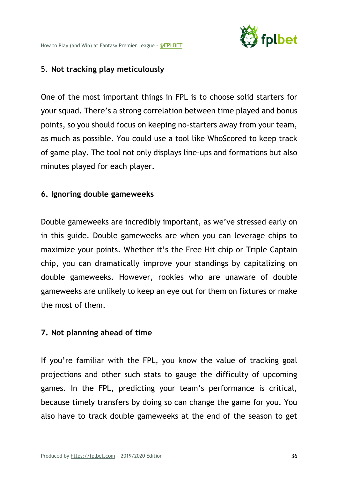

## 5. **Not tracking play meticulously**

One of the most important things in FPL is to choose solid starters for your squad. There's a strong correlation between time played and bonus points, so you should focus on keeping no-starters away from your team, as much as possible. You could use a tool like WhoScored to keep track of game play. The tool not only displays line-ups and formations but also minutes played for each player.

## **6. Ignoring double gameweeks**

Double gameweeks are incredibly important, as we've stressed early on in this guide. Double gameweeks are when you can leverage chips to maximize your points. Whether it's the Free Hit chip or Triple Captain chip, you can dramatically improve your standings by capitalizing on double gameweeks. However, rookies who are unaware of double gameweeks are unlikely to keep an eye out for them on fixtures or make the most of them.

## **7. Not planning ahead of time**

If you're familiar with the FPL, you know the value of tracking goal projections and other such stats to gauge the difficulty of upcoming games. In the FPL, predicting your team's performance is critical, because timely transfers by doing so can change the game for you. You also have to track double gameweeks at the end of the season to get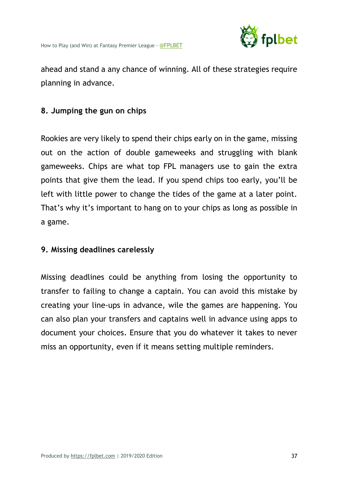

ahead and stand a any chance of winning. All of these strategies require planning in advance.

## **8. Jumping the gun on chips**

Rookies are very likely to spend their chips early on in the game, missing out on the action of double gameweeks and struggling with blank gameweeks. Chips are what top FPL managers use to gain the extra points that give them the lead. If you spend chips too early, you'll be left with little power to change the tides of the game at a later point. That's why it's important to hang on to your chips as long as possible in a game.

#### **9. Missing deadlines carelessly**

Missing deadlines could be anything from losing the opportunity to transfer to failing to change a captain. You can avoid this mistake by creating your line-ups in advance, wile the games are happening. You can also plan your transfers and captains well in advance using apps to document your choices. Ensure that you do whatever it takes to never miss an opportunity, even if it means setting multiple reminders.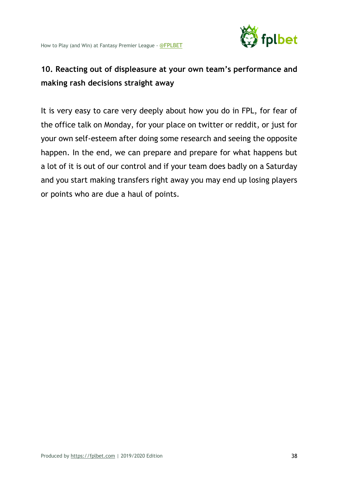

# **10. Reacting out of displeasure at your own team's performance and making rash decisions straight away**

It is very easy to care very deeply about how you do in FPL, for fear of the office talk on Monday, for your place on twitter or reddit, or just for your own self-esteem after doing some research and seeing the opposite happen. In the end, we can prepare and prepare for what happens but a lot of it is out of our control and if your team does badly on a Saturday and you start making transfers right away you may end up losing players or points who are due a haul of points.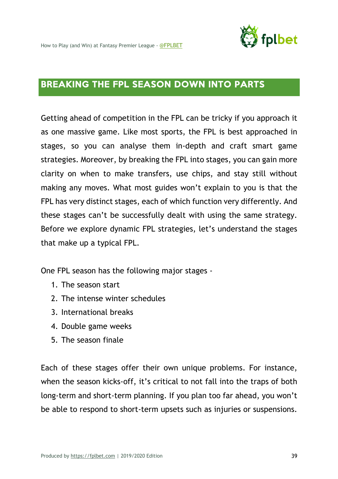

# BREAKING THE FPL SEASON DOWN INTO PARTS

Getting ahead of competition in the FPL can be tricky if you approach it as one massive game. Like most sports, the FPL is best approached in stages, so you can analyse them in-depth and craft smart game strategies. Moreover, by breaking the FPL into stages, you can gain more clarity on when to make transfers, use chips, and stay still without making any moves. What most guides won't explain to you is that the FPL has very distinct stages, each of which function very differently. And these stages can't be successfully dealt with using the same strategy. Before we explore dynamic FPL strategies, let's understand the stages that make up a typical FPL.

One FPL season has the following major stages -

- 1. The season start
- 2. The intense winter schedules
- 3. International breaks
- 4. Double game weeks
- 5. The season finale

Each of these stages offer their own unique problems. For instance, when the season kicks-off, it's critical to not fall into the traps of both long-term and short-term planning. If you plan too far ahead, you won't be able to respond to short-term upsets such as injuries or suspensions.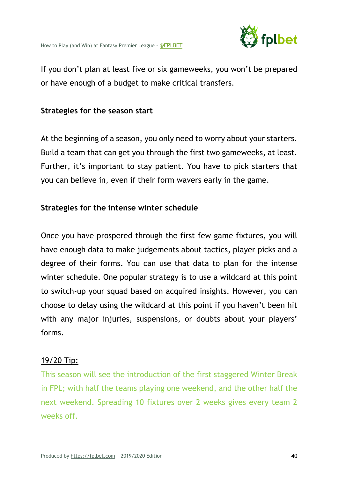

If you don't plan at least five or six gameweeks, you won't be prepared or have enough of a budget to make critical transfers.

#### **Strategies for the season start**

At the beginning of a season, you only need to worry about your starters. Build a team that can get you through the first two gameweeks, at least. Further, it's important to stay patient. You have to pick starters that you can believe in, even if their form wavers early in the game.

## **Strategies for the intense winter schedule**

Once you have prospered through the first few game fixtures, you will have enough data to make judgements about tactics, player picks and a degree of their forms. You can use that data to plan for the intense winter schedule. One popular strategy is to use a wildcard at this point to switch-up your squad based on acquired insights. However, you can choose to delay using the wildcard at this point if you haven't been hit with any major injuries, suspensions, or doubts about your players' forms.

#### 19/20 Tip:

This season will see the introduction of the first staggered Winter Break in FPL; with half the teams playing one weekend, and the other half the next weekend. Spreading 10 fixtures over 2 weeks gives every team 2 weeks off.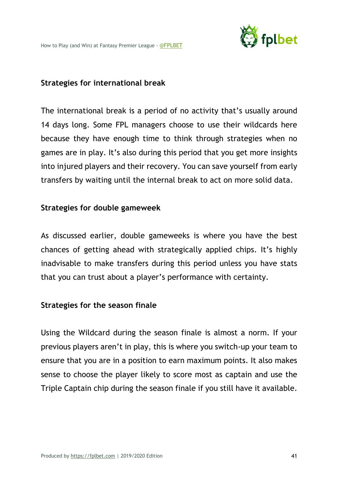

#### **Strategies for international break**

The international break is a period of no activity that's usually around 14 days long. Some FPL managers choose to use their wildcards here because they have enough time to think through strategies when no games are in play. It's also during this period that you get more insights into injured players and their recovery. You can save yourself from early transfers by waiting until the internal break to act on more solid data.

#### **Strategies for double gameweek**

As discussed earlier, double gameweeks is where you have the best chances of getting ahead with strategically applied chips. It's highly inadvisable to make transfers during this period unless you have stats that you can trust about a player's performance with certainty.

#### **Strategies for the season finale**

Using the Wildcard during the season finale is almost a norm. If your previous players aren't in play, this is where you switch-up your team to ensure that you are in a position to earn maximum points. It also makes sense to choose the player likely to score most as captain and use the Triple Captain chip during the season finale if you still have it available.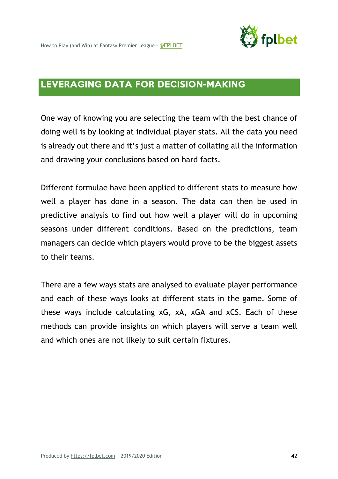

# LEVERAGING DATA FOR DECISION-MAKING

One way of knowing you are selecting the team with the best chance of doing well is by looking at individual player stats. All the data you need is already out there and it's just a matter of collating all the information and drawing your conclusions based on hard facts.

Different formulae have been applied to different stats to measure how well a player has done in a season. The data can then be used in predictive analysis to find out how well a player will do in upcoming seasons under different conditions. Based on the predictions, team managers can decide which players would prove to be the biggest assets to their teams.

There are a few ways stats are analysed to evaluate player performance and each of these ways looks at different stats in the game. Some of these ways include calculating xG, xA, xGA and xCS. Each of these methods can provide insights on which players will serve a team well and which ones are not likely to suit certain fixtures.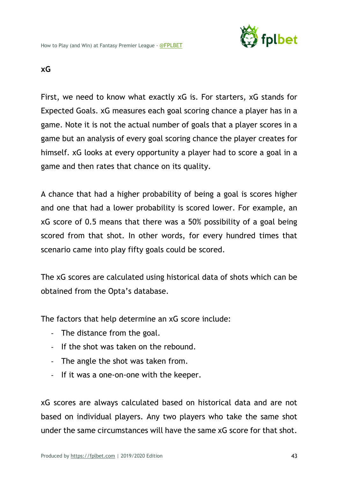

## **xG**

First, we need to know what exactly xG is. For starters, xG stands for Expected Goals. xG measures each goal scoring chance a player has in a game. Note it is not the actual number of goals that a player scores in a game but an analysis of every goal scoring chance the player creates for himself. xG looks at every opportunity a player had to score a goal in a game and then rates that chance on its quality.

A chance that had a higher probability of being a goal is scores higher and one that had a lower probability is scored lower. For example, an xG score of 0.5 means that there was a 50% possibility of a goal being scored from that shot. In other words, for every hundred times that scenario came into play fifty goals could be scored.

The xG scores are calculated using historical data of shots which can be obtained from the Opta's database.

The factors that help determine an xG score include:

- The distance from the goal.
- If the shot was taken on the rebound.
- The angle the shot was taken from.
- If it was a one-on-one with the keeper.

xG scores are always calculated based on historical data and are not based on individual players. Any two players who take the same shot under the same circumstances will have the same xG score for that shot.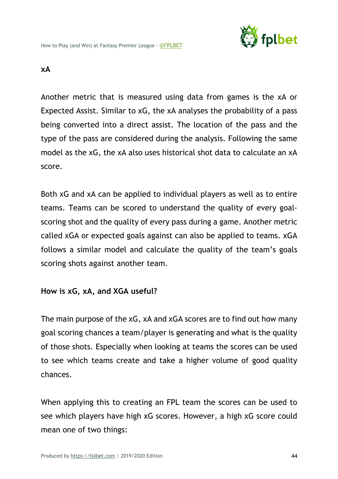

#### **xA**

Another metric that is measured using data from games is the xA or Expected Assist. Similar to xG, the xA analyses the probability of a pass being converted into a direct assist. The location of the pass and the type of the pass are considered during the analysis. Following the same model as the xG, the xA also uses historical shot data to calculate an xA score.

Both xG and xA can be applied to individual players as well as to entire teams. Teams can be scored to understand the quality of every goalscoring shot and the quality of every pass during a game. Another metric called xGA or expected goals against can also be applied to teams. xGA follows a similar model and calculate the quality of the team's goals scoring shots against another team.

## **How is xG, xA, and XGA useful?**

The main purpose of the xG, xA and xGA scores are to find out how many goal scoring chances a team/player is generating and what is the quality of those shots. Especially when looking at teams the scores can be used to see which teams create and take a higher volume of good quality chances.

When applying this to creating an FPL team the scores can be used to see which players have high xG scores. However, a high xG score could mean one of two things: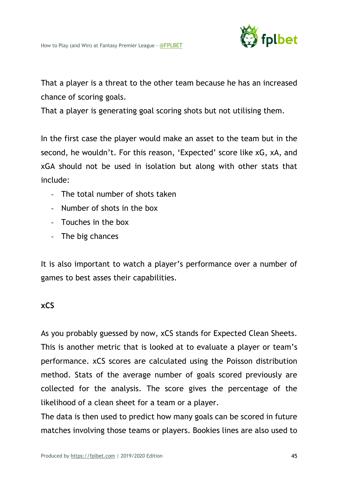

That a player is a threat to the other team because he has an increased chance of scoring goals.

That a player is generating goal scoring shots but not utilising them.

In the first case the player would make an asset to the team but in the second, he wouldn't. For this reason, 'Expected' score like xG, xA, and xGA should not be used in isolation but along with other stats that include:

- The total number of shots taken
- Number of shots in the box
- Touches in the box
- The big chances

It is also important to watch a player's performance over a number of games to best asses their capabilities.

#### **xCS**

As you probably guessed by now, xCS stands for Expected Clean Sheets. This is another metric that is looked at to evaluate a player or team's performance. xCS scores are calculated using the Poisson distribution method. Stats of the average number of goals scored previously are collected for the analysis. The score gives the percentage of the likelihood of a clean sheet for a team or a player.

The data is then used to predict how many goals can be scored in future matches involving those teams or players. Bookies lines are also used to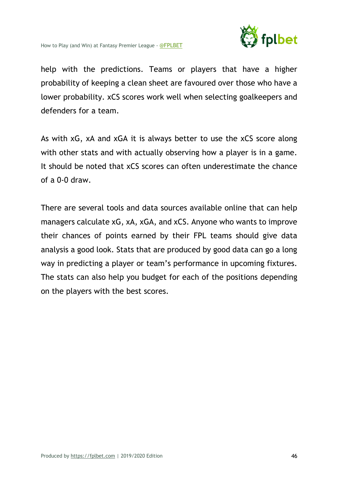

help with the predictions. Teams or players that have a higher probability of keeping a clean sheet are favoured over those who have a lower probability. xCS scores work well when selecting goalkeepers and defenders for a team.

As with xG, xA and xGA it is always better to use the xCS score along with other stats and with actually observing how a player is in a game. It should be noted that xCS scores can often underestimate the chance of a 0-0 draw.

There are several tools and data sources available online that can help managers calculate xG, xA, xGA, and xCS. Anyone who wants to improve their chances of points earned by their FPL teams should give data analysis a good look. Stats that are produced by good data can go a long way in predicting a player or team's performance in upcoming fixtures. The stats can also help you budget for each of the positions depending on the players with the best scores.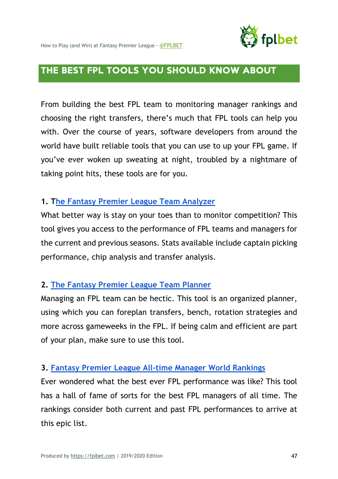

# THE BEST FPL TOOLS YOU SHOULD KNOW ABOUT

From building the best FPL team to monitoring manager rankings and choosing the right transfers, there's much that FPL tools can help you with. Over the course of years, software developers from around the world have built reliable tools that you can use to up your FPL game. If you've ever woken up sweating at night, troubled by a nightmare of taking point hits, these tools are for you.

## **1. The Fantasy Premier League Team Analyzer**

What better way is stay on your toes than to monitor competition? This tool gives you access to the performance of FPL teams and managers for the current and previous seasons. Stats available include captain picking performance, chip analysis and transfer analysis.

# **2. The Fantasy Premier League Team Planner**

Managing an FPL team can be hectic. This tool is an organized planner, using which you can foreplan transfers, bench, rotation strategies and more across gameweeks in the FPL. If being calm and efficient are part of your plan, make sure to use this tool.

## **3. Fantasy Premier League All-time Manager World Rankings**

Ever wondered what the best ever FPL performance was like? This tool has a hall of fame of sorts for the best FPL managers of all time. The rankings consider both current and past FPL performances to arrive at this epic list.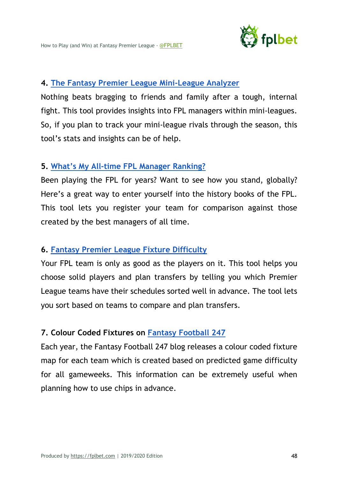

#### **4. The Fantasy Premier League Mini-League Analyzer**

Nothing beats bragging to friends and family after a tough, internal fight. This tool provides insights into FPL managers within mini-leagues. So, if you plan to track your mini-league rivals through the season, this tool's stats and insights can be of help.

#### **5. What's My All-time FPL Manager Ranking?**

Been playing the FPL for years? Want to see how you stand, globally? Here's a great way to enter yourself into the history books of the FPL. This tool lets you register your team for comparison against those created by the best managers of all time.

## **6. Fantasy Premier League Fixture Difficulty**

Your FPL team is only as good as the players on it. This tool helps you choose solid players and plan transfers by telling you which Premier League teams have their schedules sorted well in advance. The tool lets you sort based on teams to compare and plan transfers.

# **7. Colour Coded Fixtures on Fantasy Football 247**

Each year, the Fantasy Football 247 blog releases a colour coded fixture map for each team which is created based on predicted game difficulty for all gameweeks. This information can be extremely useful when planning how to use chips in advance.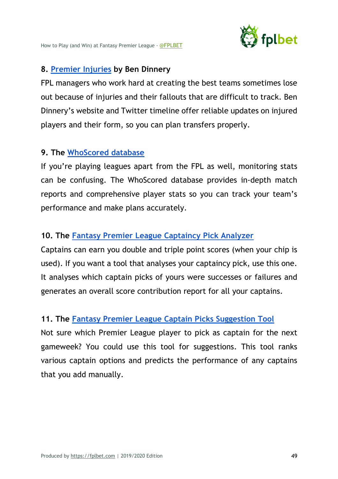

## **8. Premier Injuries by Ben Dinnery**

FPL managers who work hard at creating the best teams sometimes lose out because of injuries and their fallouts that are difficult to track. Ben Dinnery's website and Twitter timeline offer reliable updates on injured players and their form, so you can plan transfers properly.

# **9. The WhoScored database**

If you're playing leagues apart from the FPL as well, monitoring stats can be confusing. The WhoScored database provides in-depth match reports and comprehensive player stats so you can track your team's performance and make plans accurately.

# **10. The Fantasy Premier League Captaincy Pick Analyzer**

Captains can earn you double and triple point scores (when your chip is used). If you want a tool that analyses your captaincy pick, use this one. It analyses which captain picks of yours were successes or failures and generates an overall score contribution report for all your captains.

# **11. The Fantasy Premier League Captain Picks Suggestion Tool**

Not sure which Premier League player to pick as captain for the next gameweek? You could use this tool for suggestions. This tool ranks various captain options and predicts the performance of any captains that you add manually.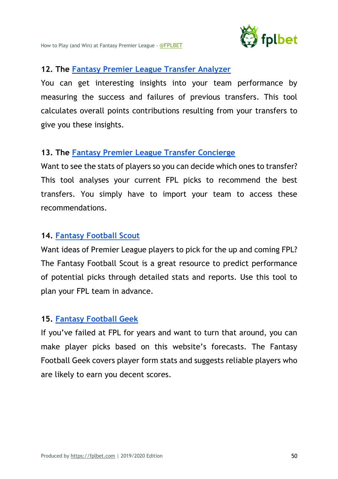

## **12. The Fantasy Premier League Transfer Analyzer**

You can get interesting insights into your team performance by measuring the success and failures of previous transfers. This tool calculates overall points contributions resulting from your transfers to give you these insights.

## **13. The Fantasy Premier League Transfer Concierge**

Want to see the stats of players so you can decide which ones to transfer? This tool analyses your current FPL picks to recommend the best transfers. You simply have to import your team to access these recommendations.

## **14. Fantasy Football Scout**

Want ideas of Premier League players to pick for the up and coming FPL? The Fantasy Football Scout is a great resource to predict performance of potential picks through detailed stats and reports. Use this tool to plan your FPL team in advance.

## **15. Fantasy Football Geek**

If you've failed at FPL for years and want to turn that around, you can make player picks based on this website's forecasts. The Fantasy Football Geek covers player form stats and suggests reliable players who are likely to earn you decent scores.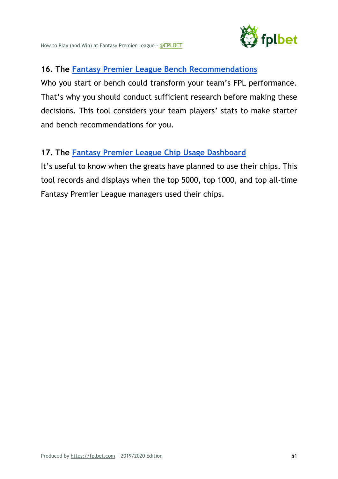

# **16. The Fantasy Premier League Bench Recommendations**

Who you start or bench could transform your team's FPL performance. That's why you should conduct sufficient research before making these decisions. This tool considers your team players' stats to make starter and bench recommendations for you.

# **17. The Fantasy Premier League Chip Usage Dashboard**

It's useful to know when the greats have planned to use their chips. This tool records and displays when the top 5000, top 1000, and top all-time Fantasy Premier League managers used their chips.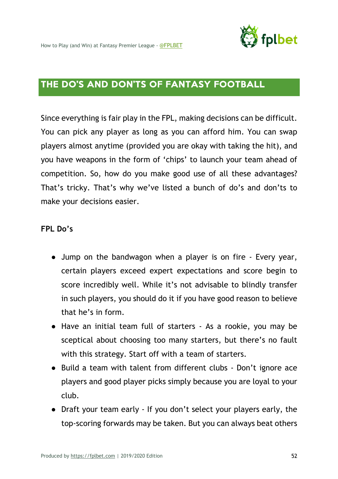

# THE DO'S AND DON'TS OF FANTASY FOOTBALL

Since everything is fair play in the FPL, making decisions can be difficult. You can pick any player as long as you can afford him. You can swap players almost anytime (provided you are okay with taking the hit), and you have weapons in the form of 'chips' to launch your team ahead of competition. So, how do you make good use of all these advantages? That's tricky. That's why we've listed a bunch of do's and don'ts to make your decisions easier.

#### **FPL Do's**

- Jump on the bandwagon when a player is on fire Every year, certain players exceed expert expectations and score begin to score incredibly well. While it's not advisable to blindly transfer in such players, you should do it if you have good reason to believe that he's in form.
- Have an initial team full of starters As a rookie, you may be sceptical about choosing too many starters, but there's no fault with this strategy. Start off with a team of starters.
- Build a team with talent from different clubs Don't ignore ace players and good player picks simply because you are loyal to your club.
- Draft your team early If you don't select your players early, the top-scoring forwards may be taken. But you can always beat others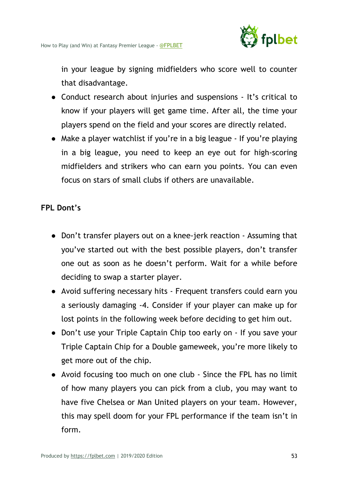

in your league by signing midfielders who score well to counter that disadvantage.

- Conduct research about injuries and suspensions It's critical to know if your players will get game time. After all, the time your players spend on the field and your scores are directly related.
- Make a player watchlist if you're in a big league If you're playing in a big league, you need to keep an eye out for high-scoring midfielders and strikers who can earn you points. You can even focus on stars of small clubs if others are unavailable.

## **FPL Dont's**

- Don't transfer players out on a knee-jerk reaction Assuming that you've started out with the best possible players, don't transfer one out as soon as he doesn't perform. Wait for a while before deciding to swap a starter player.
- Avoid suffering necessary hits Frequent transfers could earn you a seriously damaging -4. Consider if your player can make up for lost points in the following week before deciding to get him out.
- Don't use your Triple Captain Chip too early on If you save your Triple Captain Chip for a Double gameweek, you're more likely to get more out of the chip.
- Avoid focusing too much on one club Since the FPL has no limit of how many players you can pick from a club, you may want to have five Chelsea or Man United players on your team. However, this may spell doom for your FPL performance if the team isn't in form.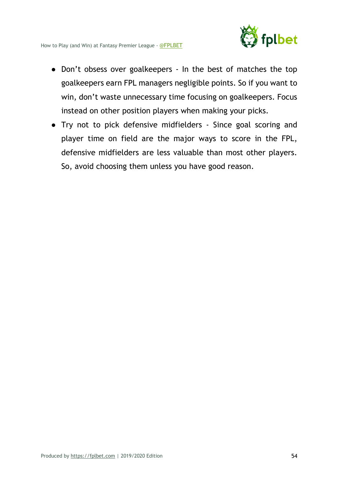- Don't obsess over goalkeepers In the best of matches the top goalkeepers earn FPL managers negligible points. So if you want to win, don't waste unnecessary time focusing on goalkeepers. Focus instead on other position players when making your picks.
- Try not to pick defensive midfielders Since goal scoring and player time on field are the major ways to score in the FPL, defensive midfielders are less valuable than most other players. So, avoid choosing them unless you have good reason.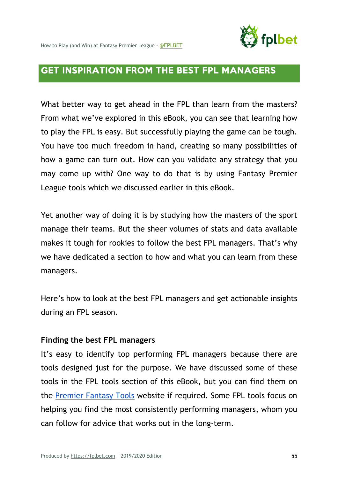

# GET INSPIRATION FROM THE BEST FPL MANAGERS

What better way to get ahead in the FPL than learn from the masters? From what we've explored in this eBook, you can see that learning how to play the FPL is easy. But successfully playing the game can be tough. You have too much freedom in hand, creating so many possibilities of how a game can turn out. How can you validate any strategy that you may come up with? One way to do that is by using Fantasy Premier League tools which we discussed earlier in this eBook.

Yet another way of doing it is by studying how the masters of the sport manage their teams. But the sheer volumes of stats and data available makes it tough for rookies to follow the best FPL managers. That's why we have dedicated a section to how and what you can learn from these managers.

Here's how to look at the best FPL managers and get actionable insights during an FPL season.

#### **Finding the best FPL managers**

It's easy to identify top performing FPL managers because there are tools designed just for the purpose. We have discussed some of these tools in the FPL tools section of this eBook, but you can find them on the Premier Fantasy Tools website if required. Some FPL tools focus on helping you find the most consistently performing managers, whom you can follow for advice that works out in the long-term.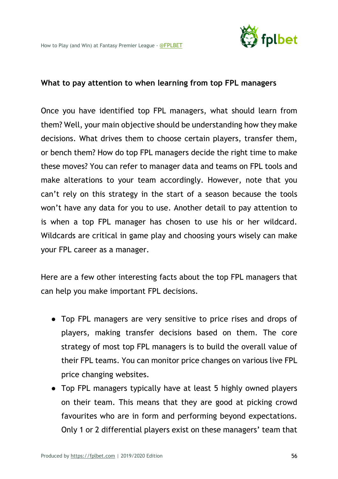

#### **What to pay attention to when learning from top FPL managers**

Once you have identified top FPL managers, what should learn from them? Well, your main objective should be understanding how they make decisions. What drives them to choose certain players, transfer them, or bench them? How do top FPL managers decide the right time to make these moves? You can refer to manager data and teams on FPL tools and make alterations to your team accordingly. However, note that you can't rely on this strategy in the start of a season because the tools won't have any data for you to use. Another detail to pay attention to is when a top FPL manager has chosen to use his or her wildcard. Wildcards are critical in game play and choosing yours wisely can make your FPL career as a manager.

Here are a few other interesting facts about the top FPL managers that can help you make important FPL decisions.

- Top FPL managers are very sensitive to price rises and drops of players, making transfer decisions based on them. The core strategy of most top FPL managers is to build the overall value of their FPL teams. You can monitor price changes on various live FPL price changing websites.
- Top FPL managers typically have at least 5 highly owned players on their team. This means that they are good at picking crowd favourites who are in form and performing beyond expectations. Only 1 or 2 differential players exist on these managers' team that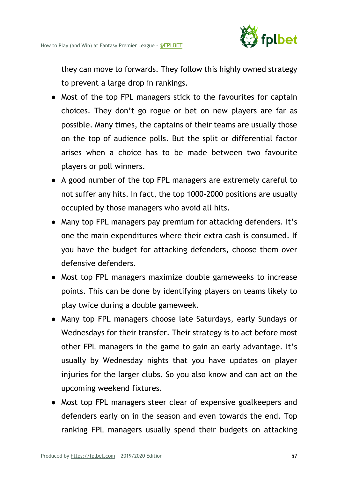

they can move to forwards. They follow this highly owned strategy to prevent a large drop in rankings.

- Most of the top FPL managers stick to the favourites for captain choices. They don't go rogue or bet on new players are far as possible. Many times, the captains of their teams are usually those on the top of audience polls. But the split or differential factor arises when a choice has to be made between two favourite players or poll winners.
- A good number of the top FPL managers are extremely careful to not suffer any hits. In fact, the top 1000-2000 positions are usually occupied by those managers who avoid all hits.
- Many top FPL managers pay premium for attacking defenders. It's one the main expenditures where their extra cash is consumed. If you have the budget for attacking defenders, choose them over defensive defenders.
- Most top FPL managers maximize double gameweeks to increase points. This can be done by identifying players on teams likely to play twice during a double gameweek.
- Many top FPL managers choose late Saturdays, early Sundays or Wednesdays for their transfer. Their strategy is to act before most other FPL managers in the game to gain an early advantage. It's usually by Wednesday nights that you have updates on player injuries for the larger clubs. So you also know and can act on the upcoming weekend fixtures.
- Most top FPL managers steer clear of expensive goalkeepers and defenders early on in the season and even towards the end. Top ranking FPL managers usually spend their budgets on attacking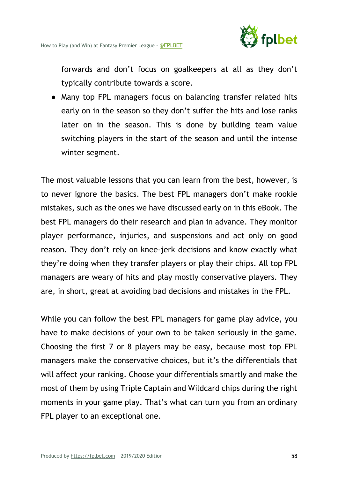

forwards and don't focus on goalkeepers at all as they don't typically contribute towards a score.

• Many top FPL managers focus on balancing transfer related hits early on in the season so they don't suffer the hits and lose ranks later on in the season. This is done by building team value switching players in the start of the season and until the intense winter segment.

The most valuable lessons that you can learn from the best, however, is to never ignore the basics. The best FPL managers don't make rookie mistakes, such as the ones we have discussed early on in this eBook. The best FPL managers do their research and plan in advance. They monitor player performance, injuries, and suspensions and act only on good reason. They don't rely on knee-jerk decisions and know exactly what they're doing when they transfer players or play their chips. All top FPL managers are weary of hits and play mostly conservative players. They are, in short, great at avoiding bad decisions and mistakes in the FPL.

While you can follow the best FPL managers for game play advice, you have to make decisions of your own to be taken seriously in the game. Choosing the first 7 or 8 players may be easy, because most top FPL managers make the conservative choices, but it's the differentials that will affect your ranking. Choose your differentials smartly and make the most of them by using Triple Captain and Wildcard chips during the right moments in your game play. That's what can turn you from an ordinary FPL player to an exceptional one.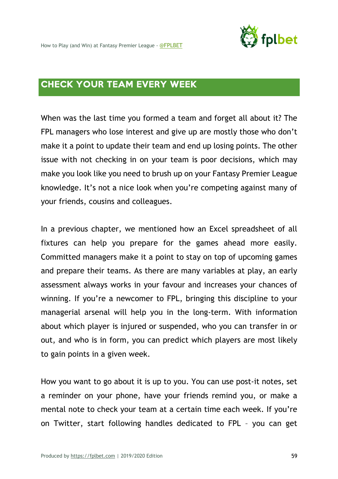

# CHECK YOUR TEAM EVERY WEEK

When was the last time you formed a team and forget all about it? The FPL managers who lose interest and give up are mostly those who don't make it a point to update their team and end up losing points. The other issue with not checking in on your team is poor decisions, which may make you look like you need to brush up on your Fantasy Premier League knowledge. It's not a nice look when you're competing against many of your friends, cousins and colleagues.

In a previous chapter, we mentioned how an Excel spreadsheet of all fixtures can help you prepare for the games ahead more easily. Committed managers make it a point to stay on top of upcoming games and prepare their teams. As there are many variables at play, an early assessment always works in your favour and increases your chances of winning. If you're a newcomer to FPL, bringing this discipline to your managerial arsenal will help you in the long-term. With information about which player is injured or suspended, who you can transfer in or out, and who is in form, you can predict which players are most likely to gain points in a given week.

How you want to go about it is up to you. You can use post-it notes, set a reminder on your phone, have your friends remind you, or make a mental note to check your team at a certain time each week. If you're on Twitter, start following handles dedicated to FPL – you can get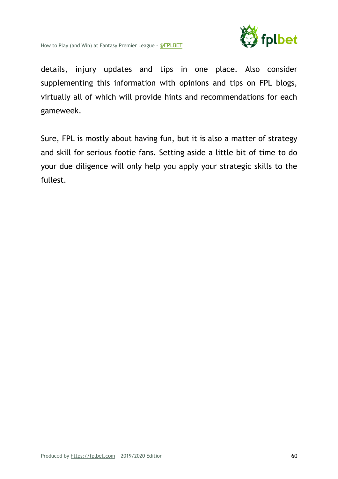

details, injury updates and tips in one place. Also consider supplementing this information with opinions and tips on FPL blogs, virtually all of which will provide hints and recommendations for each gameweek.

Sure, FPL is mostly about having fun, but it is also a matter of strategy and skill for serious footie fans. Setting aside a little bit of time to do your due diligence will only help you apply your strategic skills to the fullest.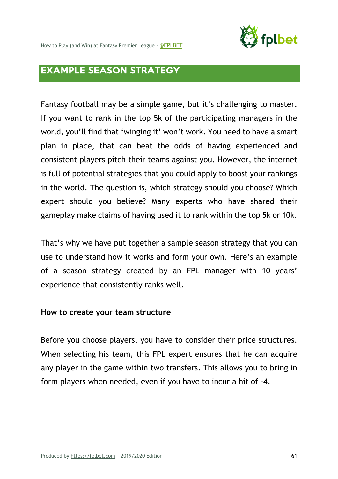

How to Play (and Win) at Fantasy Premier League - @FPLBET

# EXAMPLE SEASON STRATEGY

Fantasy football may be a simple game, but it's challenging to master. If you want to rank in the top 5k of the participating managers in the world, you'll find that 'winging it' won't work. You need to have a smart plan in place, that can beat the odds of having experienced and consistent players pitch their teams against you. However, the internet is full of potential strategies that you could apply to boost your rankings in the world. The question is, which strategy should you choose? Which expert should you believe? Many experts who have shared their gameplay make claims of having used it to rank within the top 5k or 10k.

That's why we have put together a sample season strategy that you can use to understand how it works and form your own. Here's an example of a season strategy created by an FPL manager with 10 years' experience that consistently ranks well.

#### **How to create your team structure**

Before you choose players, you have to consider their price structures. When selecting his team, this FPL expert ensures that he can acquire any player in the game within two transfers. This allows you to bring in form players when needed, even if you have to incur a hit of -4.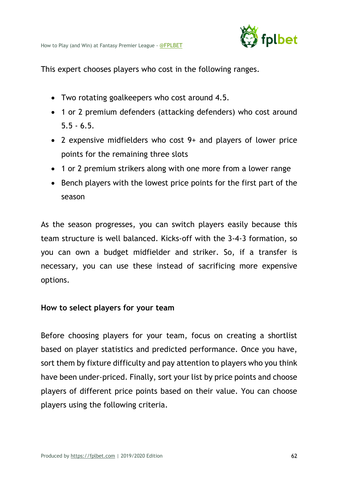

This expert chooses players who cost in the following ranges.

- Two rotating goalkeepers who cost around 4.5.
- 1 or 2 premium defenders (attacking defenders) who cost around  $5.5 - 6.5.$
- 2 expensive midfielders who cost 9+ and players of lower price points for the remaining three slots
- 1 or 2 premium strikers along with one more from a lower range
- Bench players with the lowest price points for the first part of the season

As the season progresses, you can switch players easily because this team structure is well balanced. Kicks-off with the 3-4-3 formation, so you can own a budget midfielder and striker. So, if a transfer is necessary, you can use these instead of sacrificing more expensive options.

#### **How to select players for your team**

Before choosing players for your team, focus on creating a shortlist based on player statistics and predicted performance. Once you have, sort them by fixture difficulty and pay attention to players who you think have been under-priced. Finally, sort your list by price points and choose players of different price points based on their value. You can choose players using the following criteria.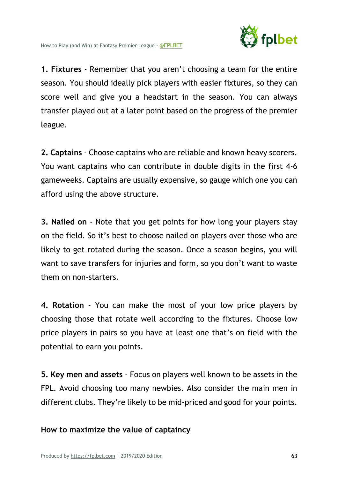

**1. Fixtures** - Remember that you aren't choosing a team for the entire season. You should ideally pick players with easier fixtures, so they can score well and give you a headstart in the season. You can always transfer played out at a later point based on the progress of the premier league.

**2. Captains** - Choose captains who are reliable and known heavy scorers. You want captains who can contribute in double digits in the first 4-6 gameweeks. Captains are usually expensive, so gauge which one you can afford using the above structure.

**3. Nailed on** - Note that you get points for how long your players stay on the field. So it's best to choose nailed on players over those who are likely to get rotated during the season. Once a season begins, you will want to save transfers for injuries and form, so you don't want to waste them on non-starters.

**4. Rotation** - You can make the most of your low price players by choosing those that rotate well according to the fixtures. Choose low price players in pairs so you have at least one that's on field with the potential to earn you points.

**5. Key men and assets** - Focus on players well known to be assets in the FPL. Avoid choosing too many newbies. Also consider the main men in different clubs. They're likely to be mid-priced and good for your points.

**How to maximize the value of captaincy**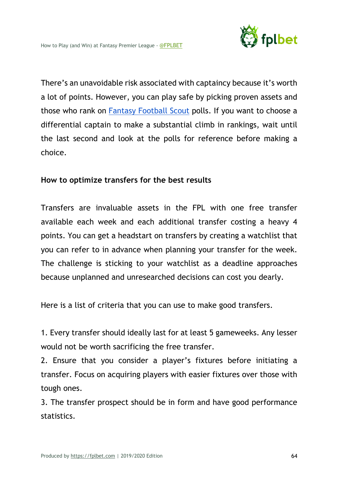

There's an unavoidable risk associated with captaincy because it's worth a lot of points. However, you can play safe by picking proven assets and those who rank on Fantasy Football Scout polls. If you want to choose a differential captain to make a substantial climb in rankings, wait until the last second and look at the polls for reference before making a choice.

## **How to optimize transfers for the best results**

Transfers are invaluable assets in the FPL with one free transfer available each week and each additional transfer costing a heavy 4 points. You can get a headstart on transfers by creating a watchlist that you can refer to in advance when planning your transfer for the week. The challenge is sticking to your watchlist as a deadline approaches because unplanned and unresearched decisions can cost you dearly.

Here is a list of criteria that you can use to make good transfers.

1. Every transfer should ideally last for at least 5 gameweeks. Any lesser would not be worth sacrificing the free transfer.

2. Ensure that you consider a player's fixtures before initiating a transfer. Focus on acquiring players with easier fixtures over those with tough ones.

3. The transfer prospect should be in form and have good performance statistics.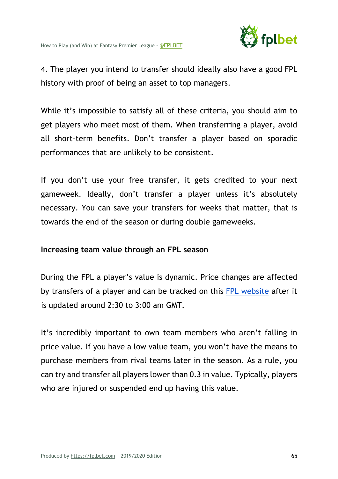

4. The player you intend to transfer should ideally also have a good FPL history with proof of being an asset to top managers.

While it's impossible to satisfy all of these criteria, you should aim to get players who meet most of them. When transferring a player, avoid all short-term benefits. Don't transfer a player based on sporadic performances that are unlikely to be consistent.

If you don't use your free transfer, it gets credited to your next gameweek. Ideally, don't transfer a player unless it's absolutely necessary. You can save your transfers for weeks that matter, that is towards the end of the season or during double gameweeks.

## **Increasing team value through an FPL season**

During the FPL a player's value is dynamic. Price changes are affected by transfers of a player and can be tracked on this FPL website after it is updated around 2:30 to 3:00 am GMT.

It's incredibly important to own team members who aren't falling in price value. If you have a low value team, you won't have the means to purchase members from rival teams later in the season. As a rule, you can try and transfer all players lower than 0.3 in value. Typically, players who are injured or suspended end up having this value.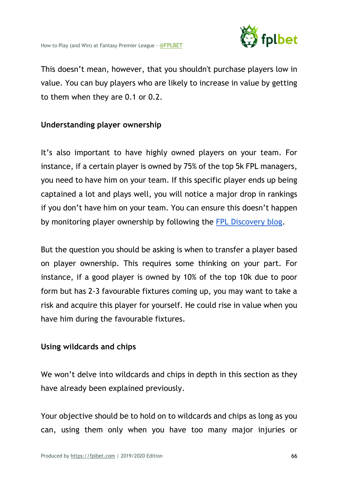

This doesn't mean, however, that you shouldn't purchase players low in value. You can buy players who are likely to increase in value by getting to them when they are 0.1 or 0.2.

# **Understanding player ownership**

It's also important to have highly owned players on your team. For instance, if a certain player is owned by 75% of the top 5k FPL managers, you need to have him on your team. If this specific player ends up being captained a lot and plays well, you will notice a major drop in rankings if you don't have him on your team. You can ensure this doesn't happen by monitoring player ownership by following the FPL Discovery blog.

But the question you should be asking is when to transfer a player based on player ownership. This requires some thinking on your part. For instance, if a good player is owned by 10% of the top 10k due to poor form but has 2-3 favourable fixtures coming up, you may want to take a risk and acquire this player for yourself. He could rise in value when you have him during the favourable fixtures.

# **Using wildcards and chips**

We won't delve into wildcards and chips in depth in this section as they have already been explained previously.

Your objective should be to hold on to wildcards and chips as long as you can, using them only when you have too many major injuries or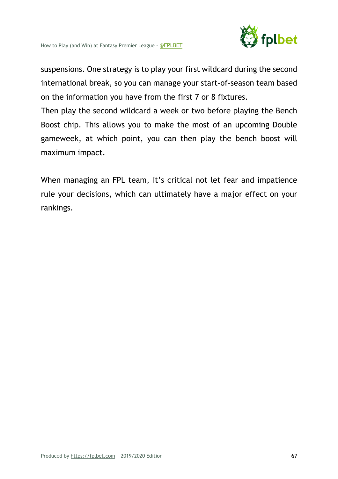

suspensions. One strategy is to play your first wildcard during the second international break, so you can manage your start-of-season team based on the information you have from the first 7 or 8 fixtures.

Then play the second wildcard a week or two before playing the Bench Boost chip. This allows you to make the most of an upcoming Double gameweek, at which point, you can then play the bench boost will maximum impact.

When managing an FPL team, it's critical not let fear and impatience rule your decisions, which can ultimately have a major effect on your rankings.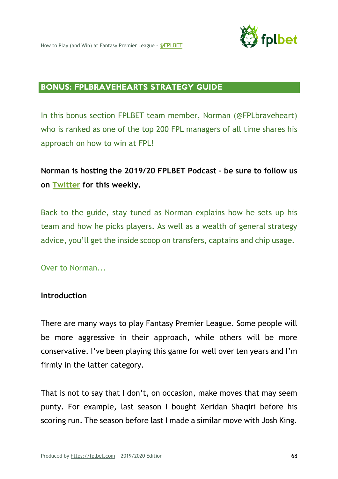

#### BONUS: FPLBRAVEHEARTS STRATEGY GUIDE

In this bonus section FPLBET team member, Norman (@FPLbraveheart) who is ranked as one of the top 200 FPL managers of all time shares his approach on how to win at FPL!

# **Norman is hosting the 2019/20 FPLBET Podcast – be sure to follow us on Twitter for this weekly.**

Back to the guide, stay tuned as Norman explains how he sets up his team and how he picks players. As well as a wealth of general strategy advice, you'll get the inside scoop on transfers, captains and chip usage.

Over to Norman...

#### **Introduction**

There are many ways to play Fantasy Premier League. Some people will be more aggressive in their approach, while others will be more conservative. I've been playing this game for well over ten years and I'm firmly in the latter category.

That is not to say that I don't, on occasion, make moves that may seem punty. For example, last season I bought Xeridan Shaqiri before his scoring run. The season before last I made a similar move with Josh King.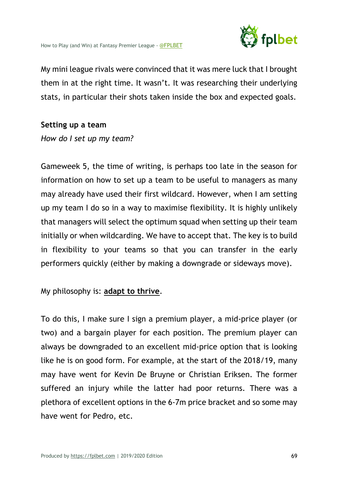

My mini league rivals were convinced that it was mere luck that I brought them in at the right time. It wasn't. It was researching their underlying stats, in particular their shots taken inside the box and expected goals.

#### **Setting up a team**

*How do I set up my team?*

Gameweek 5, the time of writing, is perhaps too late in the season for information on how to set up a team to be useful to managers as many may already have used their first wildcard. However, when I am setting up my team I do so in a way to maximise flexibility. It is highly unlikely that managers will select the optimum squad when setting up their team initially or when wildcarding. We have to accept that. The key is to build in flexibility to your teams so that you can transfer in the early performers quickly (either by making a downgrade or sideways move).

## My philosophy is: **adapt to thrive**.

To do this, I make sure I sign a premium player, a mid-price player (or two) and a bargain player for each position. The premium player can always be downgraded to an excellent mid-price option that is looking like he is on good form. For example, at the start of the 2018/19, many may have went for Kevin De Bruyne or Christian Eriksen. The former suffered an injury while the latter had poor returns. There was a plethora of excellent options in the 6-7m price bracket and so some may have went for Pedro, etc.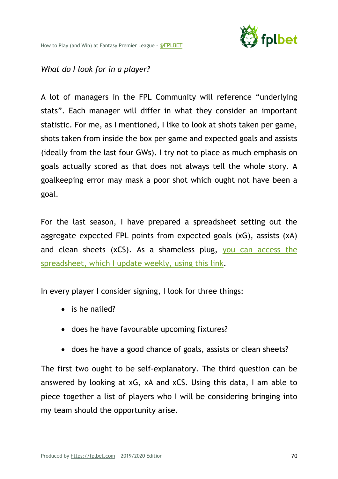

## *What do I look for in a player?*

A lot of managers in the FPL Community will reference "underlying stats". Each manager will differ in what they consider an important statistic. For me, as I mentioned, I like to look at shots taken per game, shots taken from inside the box per game and expected goals and assists (ideally from the last four GWs). I try not to place as much emphasis on goals actually scored as that does not always tell the whole story. A goalkeeping error may mask a poor shot which ought not have been a goal.

For the last season, I have prepared a spreadsheet setting out the aggregate expected FPL points from expected goals (xG), assists (xA) and clean sheets (xCS). As a shameless plug, you can access the spreadsheet, which I update weekly, using this link.

In every player I consider signing, I look for three things:

- is he nailed?
- does he have favourable upcoming fixtures?
- does he have a good chance of goals, assists or clean sheets?

The first two ought to be self-explanatory. The third question can be answered by looking at xG, xA and xCS. Using this data, I am able to piece together a list of players who I will be considering bringing into my team should the opportunity arise.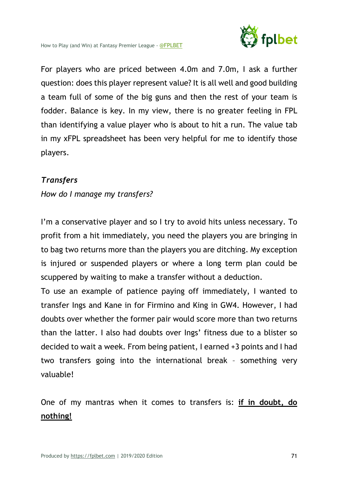

For players who are priced between 4.0m and 7.0m, I ask a further question: does this player represent value? It is all well and good building a team full of some of the big guns and then the rest of your team is fodder. Balance is key. In my view, there is no greater feeling in FPL than identifying a value player who is about to hit a run. The value tab in my xFPL spreadsheet has been very helpful for me to identify those players.

# *Transfers*

*How do I manage my transfers?*

I'm a conservative player and so I try to avoid hits unless necessary. To profit from a hit immediately, you need the players you are bringing in to bag two returns more than the players you are ditching. My exception is injured or suspended players or where a long term plan could be scuppered by waiting to make a transfer without a deduction.

To use an example of patience paying off immediately, I wanted to transfer Ings and Kane in for Firmino and King in GW4. However, I had doubts over whether the former pair would score more than two returns than the latter. I also had doubts over Ings' fitness due to a blister so decided to wait a week. From being patient, I earned +3 points and I had two transfers going into the international break – something very valuable!

One of my mantras when it comes to transfers is: **if in doubt, do nothing!**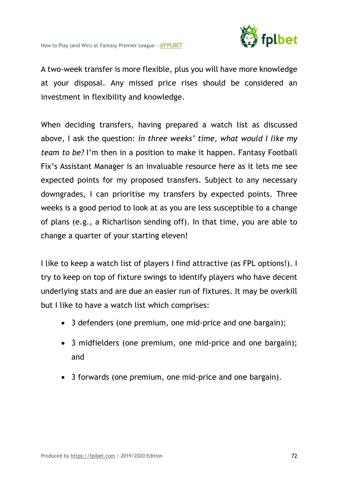

A two-week transfer is more flexible, plus you will have more knowledge at your disposal. Any missed price rises should be considered an investment in flexibility and knowledge.

When deciding transfers, having prepared a watch list as discussed above, I ask the question: *in three weeks' time, what would I like my team to be?* I'm then in a position to make it happen. Fantasy Football Fix's Assistant Manager is an invaluable resource here as it lets me see expected points for my proposed transfers. Subject to any necessary downgrades, I can prioritise my transfers by expected points. Three weeks is a good period to look at as you are less susceptible to a change of plans (e.g., a Richarlison sending off). In that time, you are able to change a quarter of your starting eleven!

I like to keep a watch list of players I find attractive (as FPL options!). I try to keep on top of fixture swings to identify players who have decent underlying stats and are due an easier run of fixtures. It may be overkill but I like to have a watch list which comprises:

- 3 defenders (one premium, one mid-price and one bargain);
- 3 midfielders (one premium, one mid-price and one bargain); and
- 3 forwards (one premium, one mid-price and one bargain).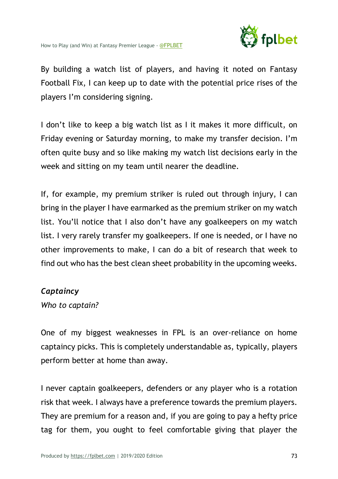

By building a watch list of players, and having it noted on Fantasy Football Fix, I can keep up to date with the potential price rises of the players I'm considering signing.

I don't like to keep a big watch list as I it makes it more difficult, on Friday evening or Saturday morning, to make my transfer decision. I'm often quite busy and so like making my watch list decisions early in the week and sitting on my team until nearer the deadline.

If, for example, my premium striker is ruled out through injury, I can bring in the player I have earmarked as the premium striker on my watch list. You'll notice that I also don't have any goalkeepers on my watch list. I very rarely transfer my goalkeepers. If one is needed, or I have no other improvements to make, I can do a bit of research that week to find out who has the best clean sheet probability in the upcoming weeks.

#### *Captaincy*

*Who to captain?*

One of my biggest weaknesses in FPL is an over-reliance on home captaincy picks. This is completely understandable as, typically, players perform better at home than away.

I never captain goalkeepers, defenders or any player who is a rotation risk that week. I always have a preference towards the premium players. They are premium for a reason and, if you are going to pay a hefty price tag for them, you ought to feel comfortable giving that player the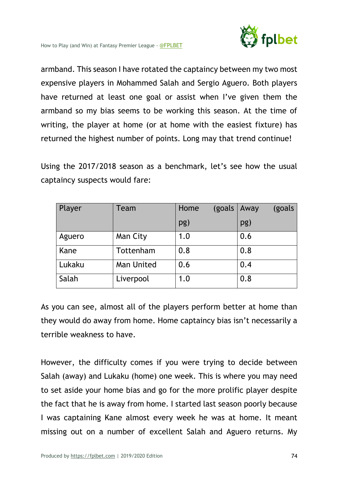

armband. This season I have rotated the captaincy between my two most expensive players in Mohammed Salah and Sergio Aguero. Both players have returned at least one goal or assist when I've given them the armband so my bias seems to be working this season. At the time of writing, the player at home (or at home with the easiest fixture) has returned the highest number of points. Long may that trend continue!

Using the 2017/2018 season as a benchmark, let's see how the usual captaincy suspects would fare:

| Player | Team       | Home<br>(goals) | Away<br>(goals |
|--------|------------|-----------------|----------------|
|        |            | pg)             | pg)            |
| Aguero | Man City   | 1.0             | 0.6            |
| Kane   | Tottenham  | 0.8             | 0.8            |
| Lukaku | Man United | 0.6             | 0.4            |
| Salah  | Liverpool  | 1.0             | 0.8            |

As you can see, almost all of the players perform better at home than they would do away from home. Home captaincy bias isn't necessarily a terrible weakness to have.

However, the difficulty comes if you were trying to decide between Salah (away) and Lukaku (home) one week. This is where you may need to set aside your home bias and go for the more prolific player despite the fact that he is away from home. I started last season poorly because I was captaining Kane almost every week he was at home. It meant missing out on a number of excellent Salah and Aguero returns. My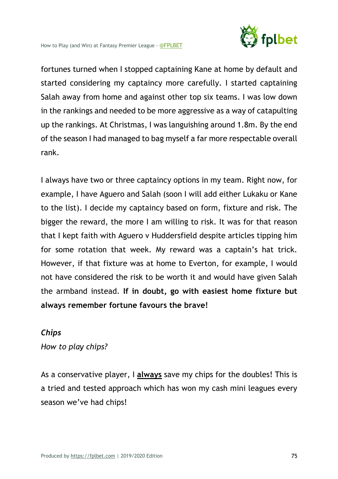

fortunes turned when I stopped captaining Kane at home by default and started considering my captaincy more carefully. I started captaining Salah away from home and against other top six teams. I was low down in the rankings and needed to be more aggressive as a way of catapulting up the rankings. At Christmas, I was languishing around 1.8m. By the end of the season I had managed to bag myself a far more respectable overall rank.

I always have two or three captaincy options in my team. Right now, for example, I have Aguero and Salah (soon I will add either Lukaku or Kane to the list). I decide my captaincy based on form, fixture and risk. The bigger the reward, the more I am willing to risk. It was for that reason that I kept faith with Aguero v Huddersfield despite articles tipping him for some rotation that week. My reward was a captain's hat trick. However, if that fixture was at home to Everton, for example, I would not have considered the risk to be worth it and would have given Salah the armband instead. **If in doubt, go with easiest home fixture but always remember fortune favours the brave!**

#### *Chips*

*How to play chips?*

As a conservative player, I **always** save my chips for the doubles! This is a tried and tested approach which has won my cash mini leagues every season we've had chips!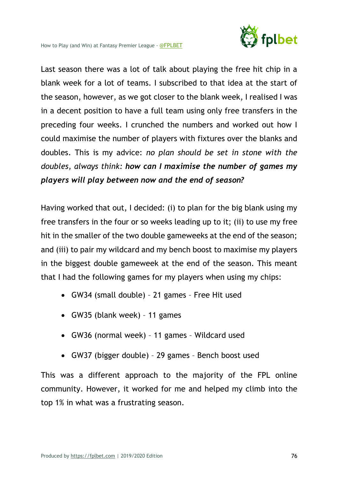

Last season there was a lot of talk about playing the free hit chip in a blank week for a lot of teams. I subscribed to that idea at the start of the season, however, as we got closer to the blank week, I realised I was in a decent position to have a full team using only free transfers in the preceding four weeks. I crunched the numbers and worked out how I could maximise the number of players with fixtures over the blanks and doubles. This is my advice: *no plan should be set in stone with the doubles, always think: how can I maximise the number of games my players will play between now and the end of season?*

Having worked that out, I decided: (i) to plan for the big blank using my free transfers in the four or so weeks leading up to it; (ii) to use my free hit in the smaller of the two double gameweeks at the end of the season; and (iii) to pair my wildcard and my bench boost to maximise my players in the biggest double gameweek at the end of the season. This meant that I had the following games for my players when using my chips:

- GW34 (small double) 21 games Free Hit used
- GW35 (blank week) 11 games
- GW36 (normal week) 11 games Wildcard used
- GW37 (bigger double) 29 games Bench boost used

This was a different approach to the majority of the FPL online community. However, it worked for me and helped my climb into the top 1% in what was a frustrating season.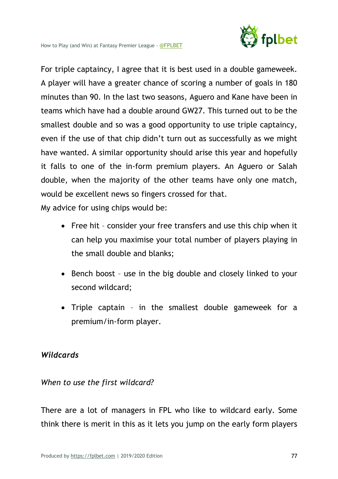

For triple captaincy, I agree that it is best used in a double gameweek. A player will have a greater chance of scoring a number of goals in 180 minutes than 90. In the last two seasons, Aguero and Kane have been in teams which have had a double around GW27. This turned out to be the smallest double and so was a good opportunity to use triple captaincy, even if the use of that chip didn't turn out as successfully as we might have wanted. A similar opportunity should arise this year and hopefully it falls to one of the in-form premium players. An Aguero or Salah double, when the majority of the other teams have only one match, would be excellent news so fingers crossed for that.

My advice for using chips would be:

- Free hit consider your free transfers and use this chip when it can help you maximise your total number of players playing in the small double and blanks;
- Bench boost use in the big double and closely linked to your second wildcard;
- Triple captain in the smallest double gameweek for a premium/in-form player.

## *Wildcards*

## *When to use the first wildcard?*

There are a lot of managers in FPL who like to wildcard early. Some think there is merit in this as it lets you jump on the early form players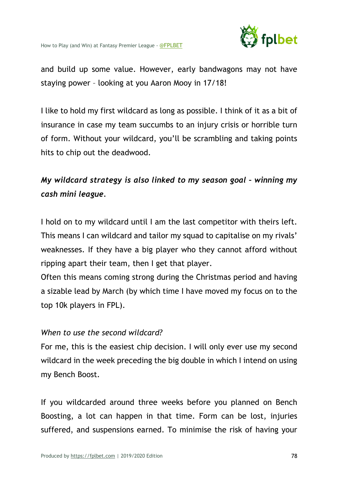

and build up some value. However, early bandwagons may not have staying power – looking at you Aaron Mooy in 17/18!

I like to hold my first wildcard as long as possible. I think of it as a bit of insurance in case my team succumbs to an injury crisis or horrible turn of form. Without your wildcard, you'll be scrambling and taking points hits to chip out the deadwood.

# *My wildcard strategy is also linked to my season goal – winning my cash mini league.*

I hold on to my wildcard until I am the last competitor with theirs left. This means I can wildcard and tailor my squad to capitalise on my rivals' weaknesses. If they have a big player who they cannot afford without ripping apart their team, then I get that player.

Often this means coming strong during the Christmas period and having a sizable lead by March (by which time I have moved my focus on to the top 10k players in FPL).

## *When to use the second wildcard?*

For me, this is the easiest chip decision. I will only ever use my second wildcard in the week preceding the big double in which I intend on using my Bench Boost.

If you wildcarded around three weeks before you planned on Bench Boosting, a lot can happen in that time. Form can be lost, injuries suffered, and suspensions earned. To minimise the risk of having your